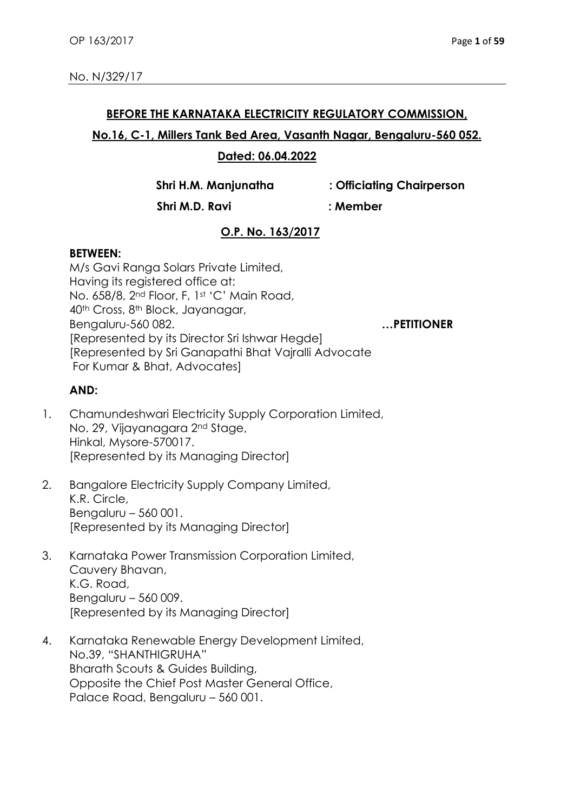#### **BEFORE THE KARNATAKA ELECTRICITY REGULATORY COMMISSION,**

## **No.16, C-1, Millers Tank Bed Area, Vasanth Nagar, Bengaluru-560 052.**

### **Dated: 06.04.2022**

**Shri H.M. Manjunatha : Officiating Chairperson**

 **Shri M.D. Ravi : Member**

# **O.P. No. 163/2017**

### **BETWEEN:**

M/s Gavi Ranga Solars Private Limited, Having its registered office at: No. 658/8, 2<sup>nd</sup> Floor, F, 1st 'C' Main Road, 40th Cross, 8th Block, Jayanagar, Bengaluru-560 082. **…PETITIONER** [Represented by its Director Sri Ishwar Hegde] [Represented by Sri Ganapathi Bhat Vajralli Advocate For Kumar & Bhat, Advocates]

## **AND:**

- 1. Chamundeshwari Electricity Supply Corporation Limited, No. 29, Vijayanagara 2nd Stage, Hinkal, Mysore-570017. [Represented by its Managing Director]
- 2. Bangalore Electricity Supply Company Limited, K.R. Circle, Bengaluru – 560 001. [Represented by its Managing Director]
- 3. Karnataka Power Transmission Corporation Limited, Cauvery Bhavan, K.G. Road, Bengaluru – 560 009. [Represented by its Managing Director]
- 4. Karnataka Renewable Energy Development Limited, No.39, "SHANTHIGRUHA" Bharath Scouts & Guides Building, Opposite the Chief Post Master General Office, Palace Road, Bengaluru – 560 001.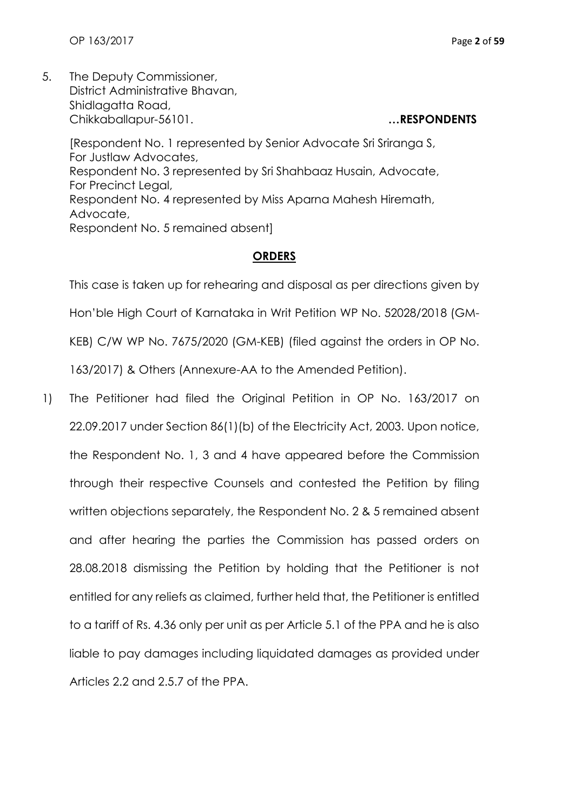OP 163/2017 Page **2** of **59**

5. The Deputy Commissioner, District Administrative Bhavan, Shidlagatta Road, Chikkaballapur-56101. **…RESPONDENTS**

[Respondent No. 1 represented by Senior Advocate Sri Sriranga S, For Justlaw Advocates, Respondent No. 3 represented by Sri Shahbaaz Husain, Advocate, For Precinct Legal, Respondent No. 4 represented by Miss Aparna Mahesh Hiremath, Advocate, Respondent No. 5 remained absent]

# **ORDERS**

This case is taken up for rehearing and disposal as per directions given by Hon'ble High Court of Karnataka in Writ Petition WP No. 52028/2018 (GM-KEB) C/W WP No. 7675/2020 (GM-KEB) (filed against the orders in OP No. 163/2017) & Others (Annexure-AA to the Amended Petition).

1) The Petitioner had filed the Original Petition in OP No. 163/2017 on 22.09.2017 under Section 86(1)(b) of the Electricity Act, 2003. Upon notice, the Respondent No. 1, 3 and 4 have appeared before the Commission through their respective Counsels and contested the Petition by filing written objections separately, the Respondent No. 2 & 5 remained absent and after hearing the parties the Commission has passed orders on 28.08.2018 dismissing the Petition by holding that the Petitioner is not entitled for any reliefs as claimed, further held that, the Petitioner is entitled to a tariff of Rs. 4.36 only per unit as per Article 5.1 of the PPA and he is also liable to pay damages including liquidated damages as provided under Articles 2.2 and 2.5.7 of the PPA.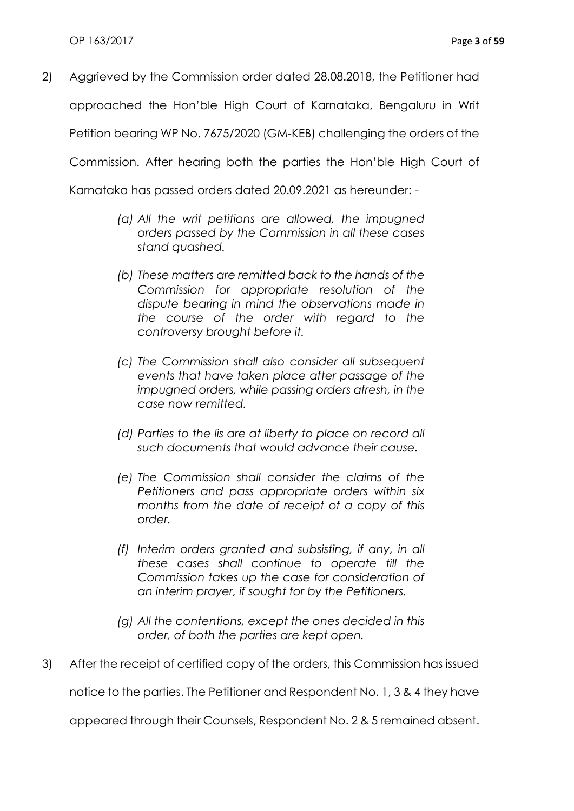2) Aggrieved by the Commission order dated 28.08.2018, the Petitioner had approached the Hon'ble High Court of Karnataka, Bengaluru in Writ Petition bearing WP No. 7675/2020 (GM-KEB) challenging the orders of the Commission. After hearing both the parties the Hon'ble High Court of

Karnataka has passed orders dated 20.09.2021 as hereunder: -

- *(a) All the writ petitions are allowed, the impugned orders passed by the Commission in all these cases stand quashed.*
- *(b) These matters are remitted back to the hands of the Commission for appropriate resolution of the dispute bearing in mind the observations made in the course of the order with regard to the controversy brought before it.*
- *(c) The Commission shall also consider all subsequent events that have taken place after passage of the impugned orders, while passing orders afresh, in the case now remitted.*
- *(d) Parties to the lis are at liberty to place on record all such documents that would advance their cause.*
- *(e) The Commission shall consider the claims of the Petitioners and pass appropriate orders within six months from the date of receipt of a copy of this order.*
- *(f) Interim orders granted and subsisting, if any, in all these cases shall continue to operate till the Commission takes up the case for consideration of an interim prayer, if sought for by the Petitioners.*
- *(g) All the contentions, except the ones decided in this order, of both the parties are kept open.*
- 3) After the receipt of certified copy of the orders, this Commission has issued

notice to the parties. The Petitioner and Respondent No. 1, 3 & 4 they have

appeared through their Counsels, Respondent No. 2 & 5 remained absent.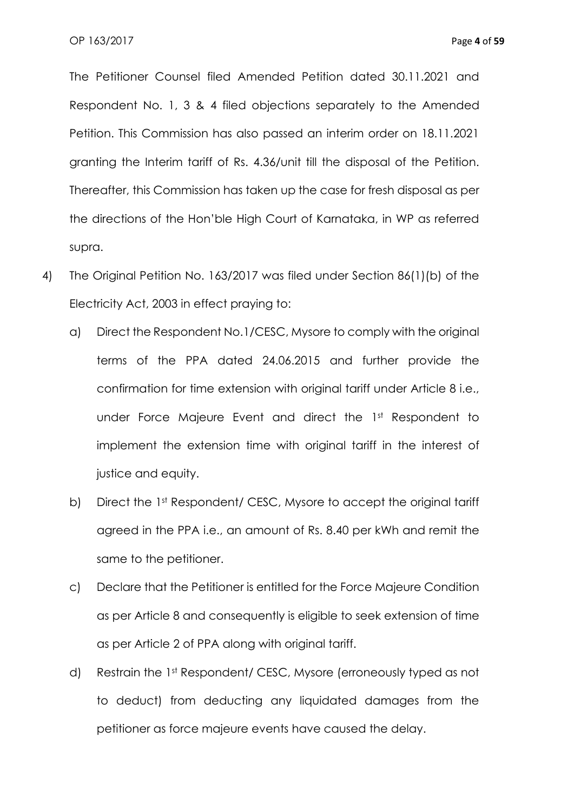The Petitioner Counsel filed Amended Petition dated 30.11.2021 and Respondent No. 1, 3 & 4 filed objections separately to the Amended Petition. This Commission has also passed an interim order on 18.11.2021 granting the Interim tariff of Rs. 4.36/unit till the disposal of the Petition. Thereafter, this Commission has taken up the case for fresh disposal as per the directions of the Hon'ble High Court of Karnataka, in WP as referred supra.

- 4) The Original Petition No. 163/2017 was filed under Section 86(1)(b) of the Electricity Act, 2003 in effect praying to:
	- a) Direct the Respondent No.1/CESC, Mysore to comply with the original terms of the PPA dated 24.06.2015 and further provide the confirmation for time extension with original tariff under Article 8 i.e., under Force Majeure Event and direct the 1st Respondent to implement the extension time with original tariff in the interest of justice and equity.
	- b) Direct the 1st Respondent/ CESC, Mysore to accept the original tariff agreed in the PPA i.e., an amount of Rs. 8.40 per kWh and remit the same to the petitioner.
	- c) Declare that the Petitioner is entitled for the Force Majeure Condition as per Article 8 and consequently is eligible to seek extension of time as per Article 2 of PPA along with original tariff.
	- d) Restrain the 1st Respondent/ CESC, Mysore (erroneously typed as not to deduct) from deducting any liquidated damages from the petitioner as force majeure events have caused the delay.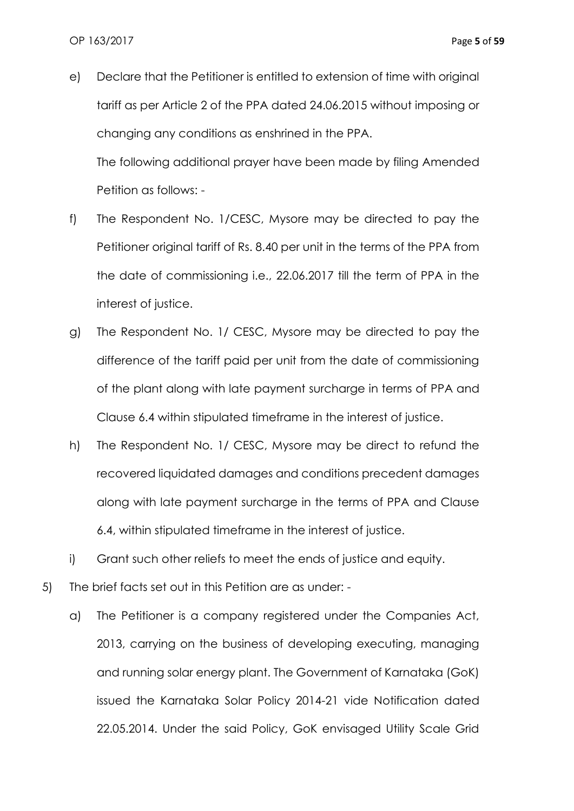- e) Declare that the Petitioner is entitled to extension of time with original tariff as per Article 2 of the PPA dated 24.06.2015 without imposing or changing any conditions as enshrined in the PPA. The following additional prayer have been made by filing Amended Petition as follows: -
- f) The Respondent No. 1/CESC, Mysore may be directed to pay the Petitioner original tariff of Rs. 8.40 per unit in the terms of the PPA from the date of commissioning i.e., 22.06.2017 till the term of PPA in the interest of justice.
- g) The Respondent No. 1/ CESC, Mysore may be directed to pay the difference of the tariff paid per unit from the date of commissioning of the plant along with late payment surcharge in terms of PPA and Clause 6.4 within stipulated timeframe in the interest of justice.
- h) The Respondent No. 1/ CESC, Mysore may be direct to refund the recovered liquidated damages and conditions precedent damages along with late payment surcharge in the terms of PPA and Clause 6.4, within stipulated timeframe in the interest of justice.
- i) Grant such other reliefs to meet the ends of justice and equity.
- 5) The brief facts set out in this Petition are as under:
	- a) The Petitioner is a company registered under the Companies Act, 2013, carrying on the business of developing executing, managing and running solar energy plant. The Government of Karnataka (GoK) issued the Karnataka Solar Policy 2014-21 vide Notification dated 22.05.2014. Under the said Policy, GoK envisaged Utility Scale Grid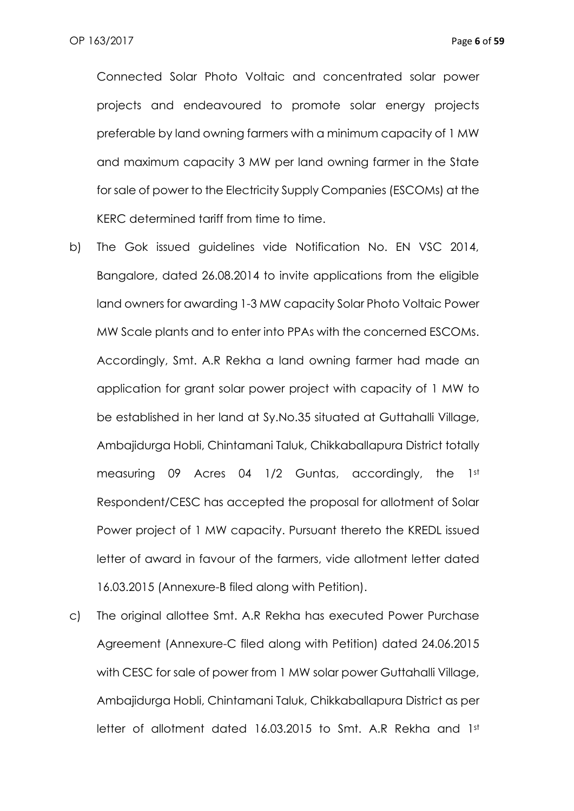Connected Solar Photo Voltaic and concentrated solar power projects and endeavoured to promote solar energy projects preferable by land owning farmers with a minimum capacity of 1 MW and maximum capacity 3 MW per land owning farmer in the State for sale of power to the Electricity Supply Companies (ESCOMs) at the KERC determined tariff from time to time.

- b) The Gok issued guidelines vide Notification No. EN VSC 2014, Bangalore, dated 26.08.2014 to invite applications from the eligible land owners for awarding 1-3 MW capacity Solar Photo Voltaic Power MW Scale plants and to enter into PPAs with the concerned ESCOMs. Accordingly, Smt. A.R Rekha a land owning farmer had made an application for grant solar power project with capacity of 1 MW to be established in her land at Sy.No.35 situated at Guttahalli Village, Ambajidurga Hobli, Chintamani Taluk, Chikkaballapura District totally measuring 09 Acres 04 1/2 Guntas, accordingly, the 1st Respondent/CESC has accepted the proposal for allotment of Solar Power project of 1 MW capacity. Pursuant thereto the KREDL issued letter of award in favour of the farmers, vide allotment letter dated 16.03.2015 (Annexure-B filed along with Petition).
- c) The original allottee Smt. A.R Rekha has executed Power Purchase Agreement (Annexure-C filed along with Petition) dated 24.06.2015 with CESC for sale of power from 1 MW solar power Guttahalli Village, Ambajidurga Hobli, Chintamani Taluk, Chikkaballapura District as per letter of allotment dated 16.03.2015 to Smt. A.R Rekha and 1st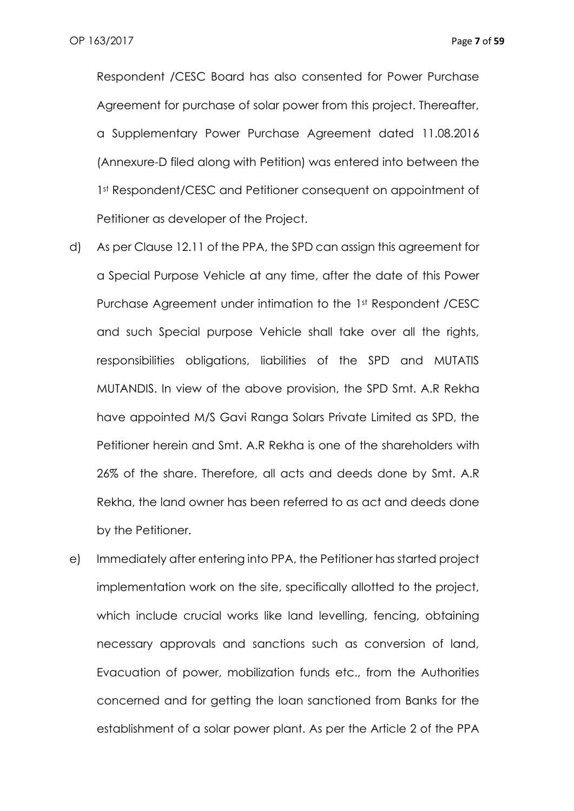Respondent /CESC Board has also consented for Power Purchase Agreement for purchase of solar power from this project. Thereafter, a Supplementary Power Purchase Agreement dated 11.08.2016 (Annexure-D filed along with Petition) was entered into between the 1st Respondent/CESC and Petitioner consequent on appointment of Petitioner as developer of the Project.

- d) As per Clause 12.11 of the PPA, the SPD can assign this agreement for a Special Purpose Vehicle at any time, after the date of this Power Purchase Agreement under intimation to the 1st Respondent /CESC and such Special purpose Vehicle shall take over all the rights, responsibilities obligations, liabilities of the SPD and MUTATIS MUTANDIS. In view of the above provision, the SPD Smt. A.R Rekha have appointed M/S Gavi Ranga Solars Private Limited as SPD, the Petitioner herein and Smt. A.R Rekha is one of the shareholders with 26% of the share. Therefore, all acts and deeds done by Smt. A.R Rekha, the land owner has been referred to as act and deeds done by the Petitioner.
- e) Immediately after entering into PPA, the Petitioner has started project implementation work on the site, specifically allotted to the project, which include crucial works like land levelling, fencing, obtaining necessary approvals and sanctions such as conversion of land, Evacuation of power, mobilization funds etc., from the Authorities concerned and for getting the loan sanctioned from Banks for the establishment of a solar power plant. As per the Article 2 of the PPA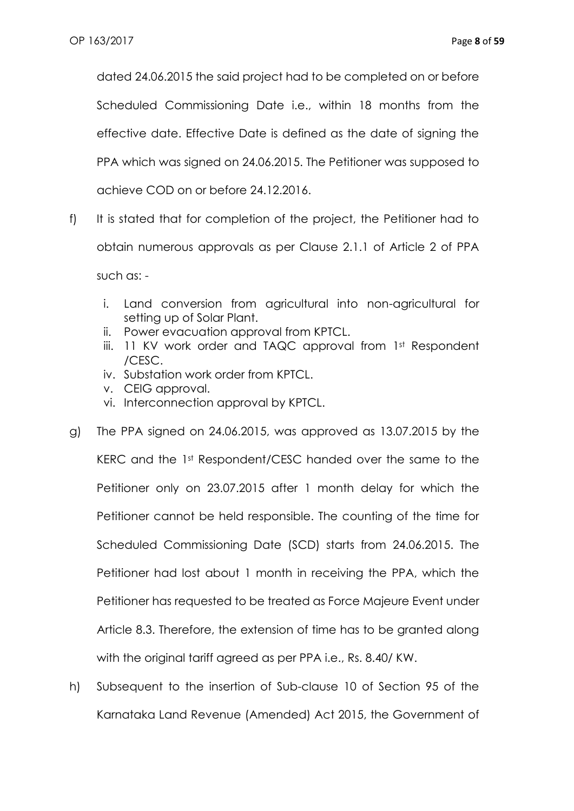dated 24.06.2015 the said project had to be completed on or before Scheduled Commissioning Date i.e., within 18 months from the effective date. Effective Date is defined as the date of signing the PPA which was signed on 24.06.2015. The Petitioner was supposed to achieve COD on or before 24.12.2016.

- f) It is stated that for completion of the project, the Petitioner had to obtain numerous approvals as per Clause 2.1.1 of Article 2 of PPA such as:
	- i. Land conversion from agricultural into non-agricultural for setting up of Solar Plant.
	- ii. Power evacuation approval from KPTCL.
	- iii. 11 KV work order and TAQC approval from 1st Respondent /CESC.
	- iv. Substation work order from KPTCL.
	- v. CEIG approval.
	- vi. Interconnection approval by KPTCL.
- g) The PPA signed on 24.06.2015, was approved as 13.07.2015 by the KERC and the 1st Respondent/CESC handed over the same to the Petitioner only on 23.07.2015 after 1 month delay for which the Petitioner cannot be held responsible. The counting of the time for Scheduled Commissioning Date (SCD) starts from 24.06.2015. The Petitioner had lost about 1 month in receiving the PPA, which the Petitioner has requested to be treated as Force Majeure Event under Article 8.3. Therefore, the extension of time has to be granted along with the original tariff agreed as per PPA i.e., Rs. 8.40/ KW.
- h) Subsequent to the insertion of Sub-clause 10 of Section 95 of the Karnataka Land Revenue (Amended) Act 2015, the Government of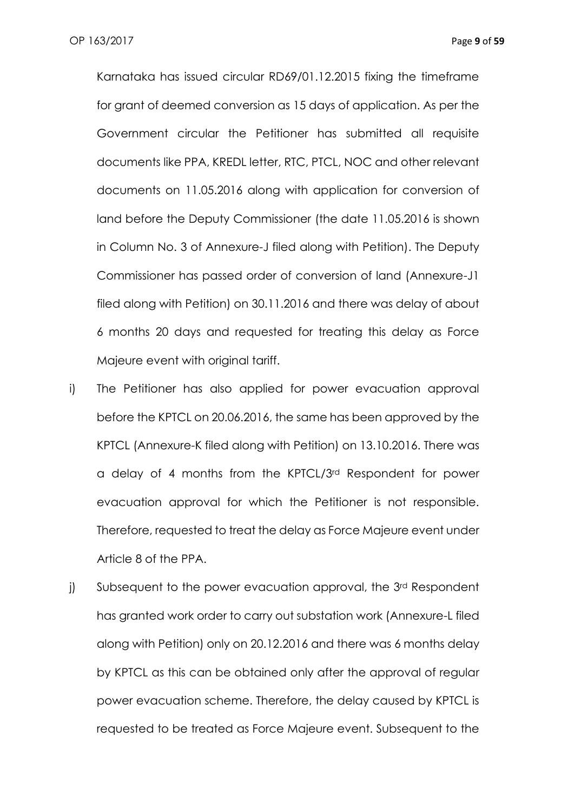Karnataka has issued circular RD69/01.12.2015 fixing the timeframe for grant of deemed conversion as 15 days of application. As per the Government circular the Petitioner has submitted all requisite documents like PPA, KREDL letter, RTC, PTCL, NOC and other relevant documents on 11.05.2016 along with application for conversion of land before the Deputy Commissioner (the date 11.05.2016 is shown in Column No. 3 of Annexure-J filed along with Petition). The Deputy Commissioner has passed order of conversion of land (Annexure-J1 filed along with Petition) on 30.11.2016 and there was delay of about 6 months 20 days and requested for treating this delay as Force Majeure event with original tariff.

- i) The Petitioner has also applied for power evacuation approval before the KPTCL on 20.06.2016, the same has been approved by the KPTCL (Annexure-K filed along with Petition) on 13.10.2016. There was a delay of 4 months from the KPTCL/3rd Respondent for power evacuation approval for which the Petitioner is not responsible. Therefore, requested to treat the delay as Force Majeure event under Article 8 of the PPA.
- j) Subsequent to the power evacuation approval, the 3<sup>rd</sup> Respondent has granted work order to carry out substation work (Annexure-L filed along with Petition) only on 20.12.2016 and there was 6 months delay by KPTCL as this can be obtained only after the approval of regular power evacuation scheme. Therefore, the delay caused by KPTCL is requested to be treated as Force Majeure event. Subsequent to the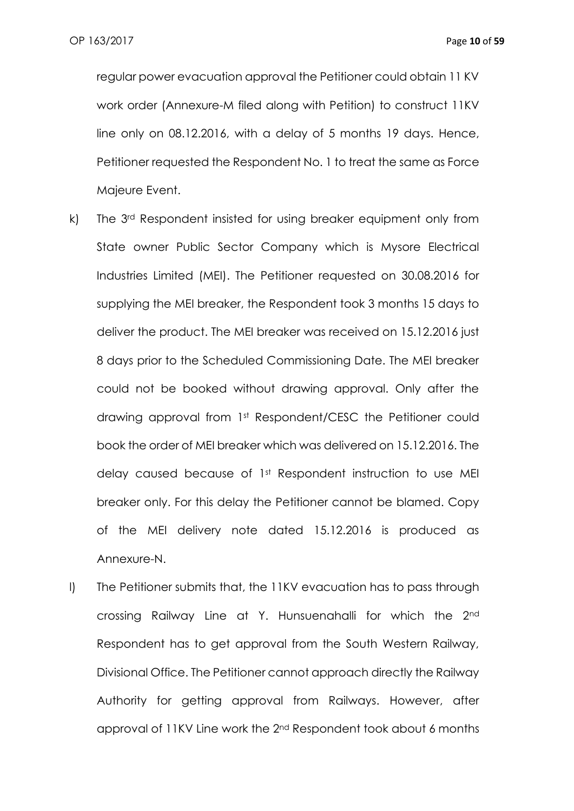regular power evacuation approval the Petitioner could obtain 11 KV work order (Annexure-M filed along with Petition) to construct 11KV line only on 08.12.2016, with a delay of 5 months 19 days. Hence, Petitioner requested the Respondent No. 1 to treat the same as Force Majeure Event.

- k) The 3rd Respondent insisted for using breaker equipment only from State owner Public Sector Company which is Mysore Electrical Industries Limited (MEI). The Petitioner requested on 30.08.2016 for supplying the MEI breaker, the Respondent took 3 months 15 days to deliver the product. The MEI breaker was received on 15.12.2016 just 8 days prior to the Scheduled Commissioning Date. The MEI breaker could not be booked without drawing approval. Only after the drawing approval from 1st Respondent/CESC the Petitioner could book the order of MEI breaker which was delivered on 15.12.2016. The delay caused because of 1st Respondent instruction to use MEI breaker only. For this delay the Petitioner cannot be blamed. Copy of the MEI delivery note dated 15.12.2016 is produced as Annexure-N.
- l) The Petitioner submits that, the 11KV evacuation has to pass through crossing Railway Line at Y. Hunsuenahalli for which the 2nd Respondent has to get approval from the South Western Railway, Divisional Office. The Petitioner cannot approach directly the Railway Authority for getting approval from Railways. However, after approval of 11KV Line work the 2nd Respondent took about 6 months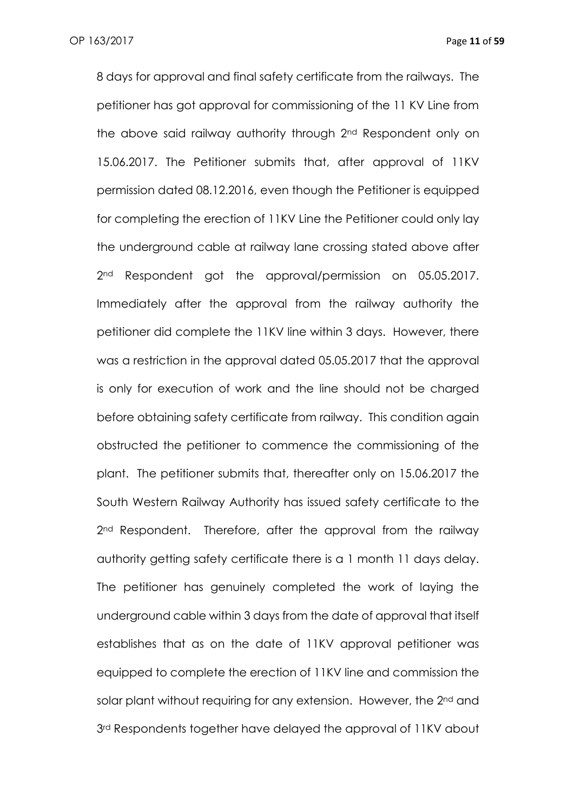8 days for approval and final safety certificate from the railways. The petitioner has got approval for commissioning of the 11 KV Line from the above said railway authority through 2nd Respondent only on 15.06.2017. The Petitioner submits that, after approval of 11KV permission dated 08.12.2016, even though the Petitioner is equipped for completing the erection of 11KV Line the Petitioner could only lay the underground cable at railway lane crossing stated above after 2<sup>nd</sup> Respondent got the approval/permission on 05.05.2017. Immediately after the approval from the railway authority the petitioner did complete the 11KV line within 3 days. However, there was a restriction in the approval dated 05.05.2017 that the approval is only for execution of work and the line should not be charged before obtaining safety certificate from railway. This condition again obstructed the petitioner to commence the commissioning of the plant. The petitioner submits that, thereafter only on 15.06.2017 the South Western Railway Authority has issued safety certificate to the 2<sup>nd</sup> Respondent. Therefore, after the approval from the railway authority getting safety certificate there is a 1 month 11 days delay. The petitioner has genuinely completed the work of laying the underground cable within 3 days from the date of approval that itself establishes that as on the date of 11KV approval petitioner was equipped to complete the erection of 11KV line and commission the solar plant without requiring for any extension. However, the 2<sup>nd</sup> and 3<sup>rd</sup> Respondents together have delayed the approval of 11KV about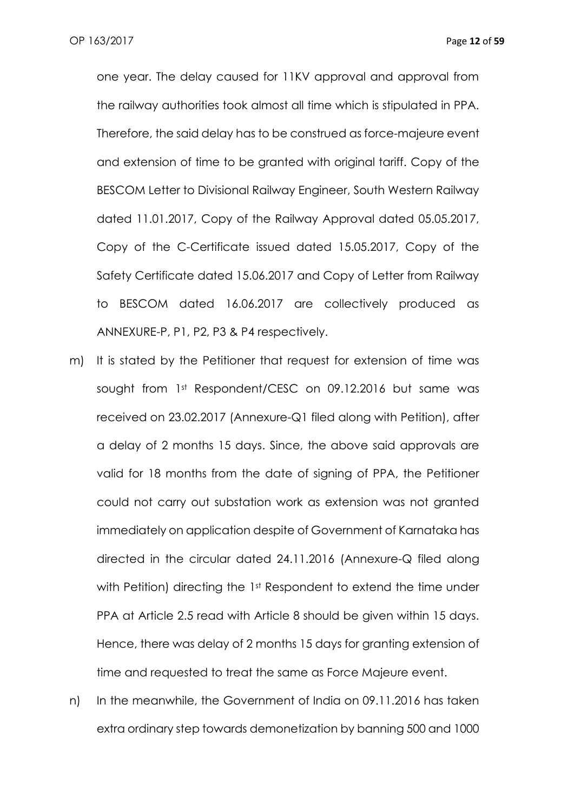one year. The delay caused for 11KV approval and approval from the railway authorities took almost all time which is stipulated in PPA. Therefore, the said delay has to be construed as force-majeure event and extension of time to be granted with original tariff. Copy of the BESCOM Letter to Divisional Railway Engineer, South Western Railway dated 11.01.2017, Copy of the Railway Approval dated 05.05.2017, Copy of the C-Certificate issued dated 15.05.2017, Copy of the Safety Certificate dated 15.06.2017 and Copy of Letter from Railway to BESCOM dated 16.06.2017 are collectively produced as ANNEXURE-P, P1, P2, P3 & P4 respectively.

- m) It is stated by the Petitioner that request for extension of time was sought from 1st Respondent/CESC on 09.12.2016 but same was received on 23.02.2017 (Annexure-Q1 filed along with Petition), after a delay of 2 months 15 days. Since, the above said approvals are valid for 18 months from the date of signing of PPA, the Petitioner could not carry out substation work as extension was not granted immediately on application despite of Government of Karnataka has directed in the circular dated 24.11.2016 (Annexure-Q filed along with Petition) directing the 1<sup>st</sup> Respondent to extend the time under PPA at Article 2.5 read with Article 8 should be given within 15 days. Hence, there was delay of 2 months 15 days for granting extension of time and requested to treat the same as Force Majeure event.
- n) In the meanwhile, the Government of India on 09.11.2016 has taken extra ordinary step towards demonetization by banning 500 and 1000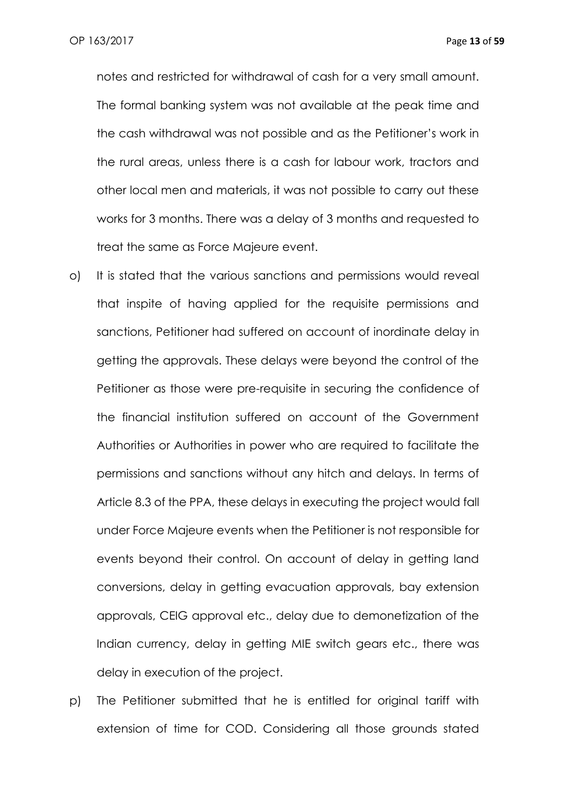notes and restricted for withdrawal of cash for a very small amount. The formal banking system was not available at the peak time and the cash withdrawal was not possible and as the Petitioner's work in the rural areas, unless there is a cash for labour work, tractors and other local men and materials, it was not possible to carry out these works for 3 months. There was a delay of 3 months and requested to treat the same as Force Majeure event.

- o) It is stated that the various sanctions and permissions would reveal that inspite of having applied for the requisite permissions and sanctions, Petitioner had suffered on account of inordinate delay in getting the approvals. These delays were beyond the control of the Petitioner as those were pre-requisite in securing the confidence of the financial institution suffered on account of the Government Authorities or Authorities in power who are required to facilitate the permissions and sanctions without any hitch and delays. In terms of Article 8.3 of the PPA, these delays in executing the project would fall under Force Majeure events when the Petitioner is not responsible for events beyond their control. On account of delay in getting land conversions, delay in getting evacuation approvals, bay extension approvals, CEIG approval etc., delay due to demonetization of the Indian currency, delay in getting MIE switch gears etc., there was delay in execution of the project.
- p) The Petitioner submitted that he is entitled for original tariff with extension of time for COD. Considering all those grounds stated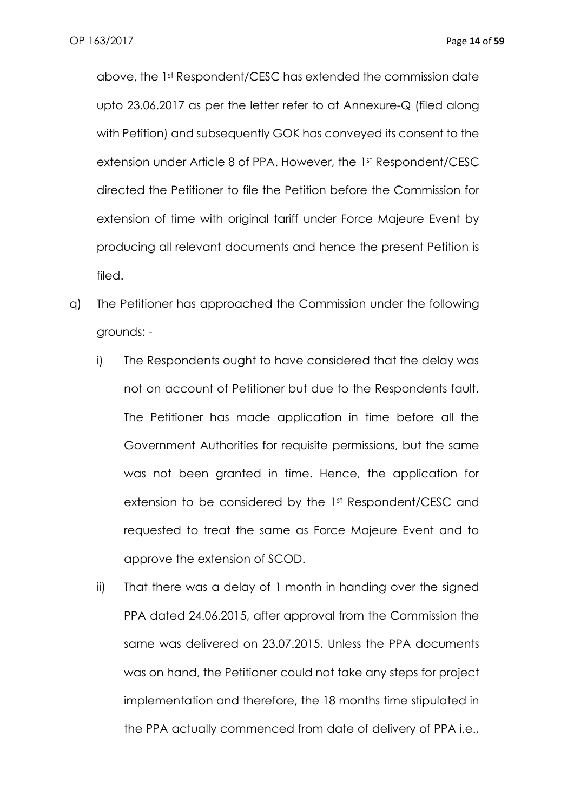above, the 1st Respondent/CESC has extended the commission date upto 23.06.2017 as per the letter refer to at Annexure-Q (filed along with Petition) and subsequently GOK has conveyed its consent to the extension under Article 8 of PPA. However, the 1st Respondent/CESC directed the Petitioner to file the Petition before the Commission for extension of time with original tariff under Force Majeure Event by producing all relevant documents and hence the present Petition is filed.

- q) The Petitioner has approached the Commission under the following grounds:
	- i) The Respondents ought to have considered that the delay was not on account of Petitioner but due to the Respondents fault. The Petitioner has made application in time before all the Government Authorities for requisite permissions, but the same was not been granted in time. Hence, the application for extension to be considered by the 1st Respondent/CESC and requested to treat the same as Force Majeure Event and to approve the extension of SCOD.
	- ii) That there was a delay of 1 month in handing over the signed PPA dated 24.06.2015, after approval from the Commission the same was delivered on 23.07.2015. Unless the PPA documents was on hand, the Petitioner could not take any steps for project implementation and therefore, the 18 months time stipulated in the PPA actually commenced from date of delivery of PPA i.e.,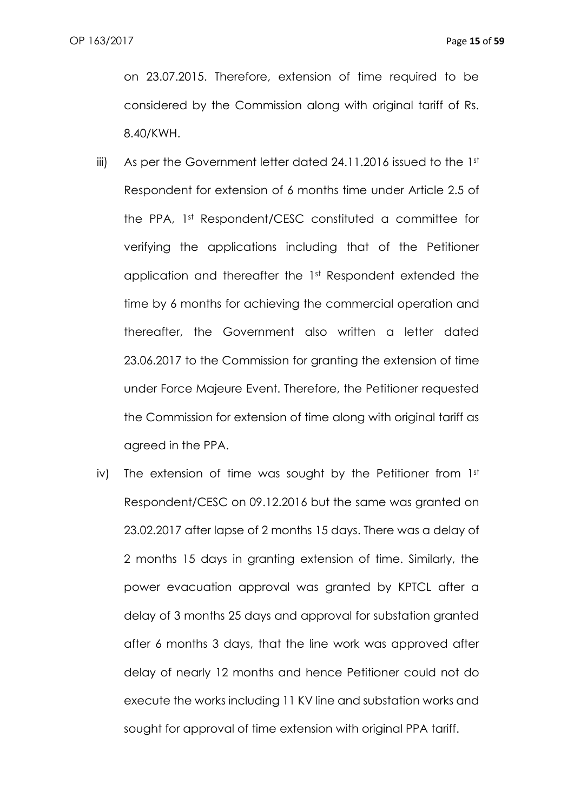on 23.07.2015. Therefore, extension of time required to be considered by the Commission along with original tariff of Rs. 8.40/KWH.

- iii) As per the Government letter dated 24.11.2016 issued to the 1st Respondent for extension of 6 months time under Article 2.5 of the PPA, 1st Respondent/CESC constituted a committee for verifying the applications including that of the Petitioner application and thereafter the 1st Respondent extended the time by 6 months for achieving the commercial operation and thereafter, the Government also written a letter dated 23.06.2017 to the Commission for granting the extension of time under Force Majeure Event. Therefore, the Petitioner requested the Commission for extension of time along with original tariff as agreed in the PPA.
- iv) The extension of time was sought by the Petitioner from  $1<sup>st</sup>$ Respondent/CESC on 09.12.2016 but the same was granted on 23.02.2017 after lapse of 2 months 15 days. There was a delay of 2 months 15 days in granting extension of time. Similarly, the power evacuation approval was granted by KPTCL after a delay of 3 months 25 days and approval for substation granted after 6 months 3 days, that the line work was approved after delay of nearly 12 months and hence Petitioner could not do execute the works including 11 KV line and substation works and sought for approval of time extension with original PPA tariff.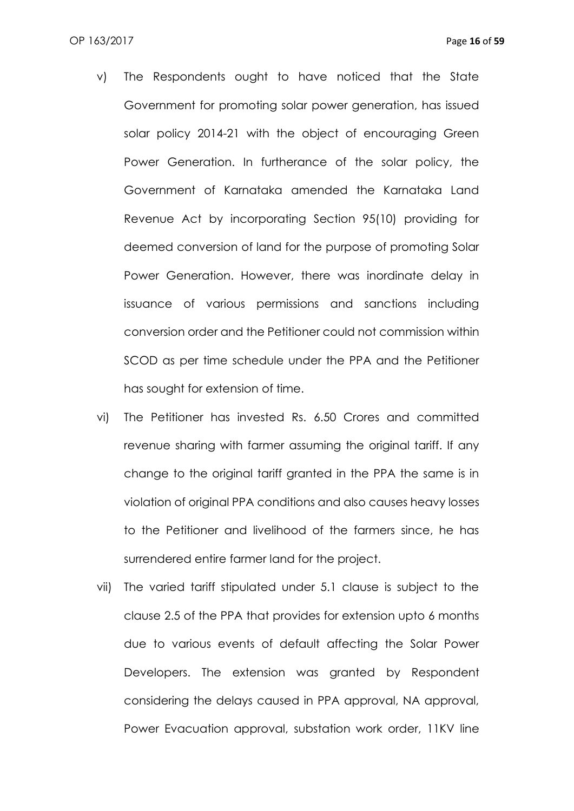- v) The Respondents ought to have noticed that the State Government for promoting solar power generation, has issued solar policy 2014-21 with the object of encouraging Green Power Generation. In furtherance of the solar policy, the Government of Karnataka amended the Karnataka Land Revenue Act by incorporating Section 95(10) providing for deemed conversion of land for the purpose of promoting Solar Power Generation. However, there was inordinate delay in issuance of various permissions and sanctions including conversion order and the Petitioner could not commission within SCOD as per time schedule under the PPA and the Petitioner has sought for extension of time.
- vi) The Petitioner has invested Rs. 6.50 Crores and committed revenue sharing with farmer assuming the original tariff. If any change to the original tariff granted in the PPA the same is in violation of original PPA conditions and also causes heavy losses to the Petitioner and livelihood of the farmers since, he has surrendered entire farmer land for the project.
- vii) The varied tariff stipulated under 5.1 clause is subject to the clause 2.5 of the PPA that provides for extension upto 6 months due to various events of default affecting the Solar Power Developers. The extension was granted by Respondent considering the delays caused in PPA approval, NA approval, Power Evacuation approval, substation work order, 11KV line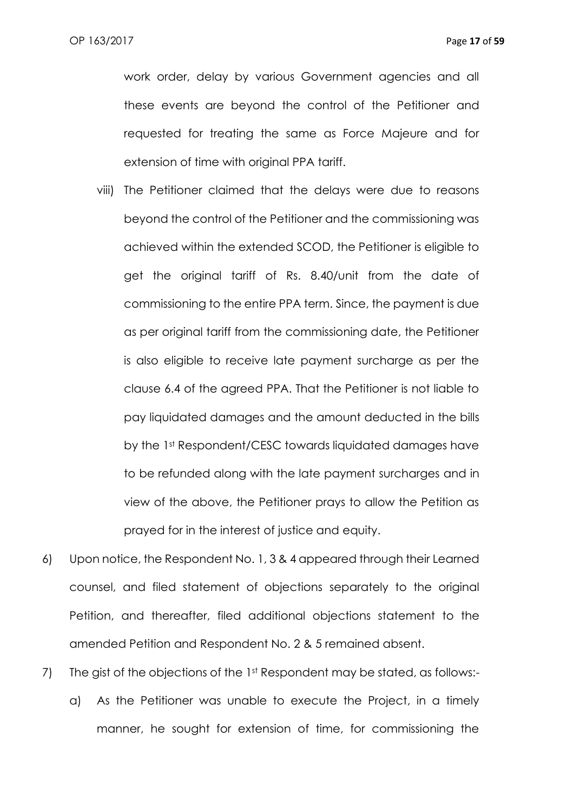work order, delay by various Government agencies and all these events are beyond the control of the Petitioner and requested for treating the same as Force Majeure and for extension of time with original PPA tariff.

- viii) The Petitioner claimed that the delays were due to reasons beyond the control of the Petitioner and the commissioning was achieved within the extended SCOD, the Petitioner is eligible to get the original tariff of Rs. 8.40/unit from the date of commissioning to the entire PPA term. Since, the payment is due as per original tariff from the commissioning date, the Petitioner is also eligible to receive late payment surcharge as per the clause 6.4 of the agreed PPA. That the Petitioner is not liable to pay liquidated damages and the amount deducted in the bills by the 1st Respondent/CESC towards liquidated damages have to be refunded along with the late payment surcharges and in view of the above, the Petitioner prays to allow the Petition as prayed for in the interest of justice and equity.
- 6) Upon notice, the Respondent No. 1, 3 & 4 appeared through their Learned counsel, and filed statement of objections separately to the original Petition, and thereafter, filed additional objections statement to the amended Petition and Respondent No. 2 & 5 remained absent.
- 7) The gist of the objections of the 1st Respondent may be stated, as follows: a) As the Petitioner was unable to execute the Project, in a timely manner, he sought for extension of time, for commissioning the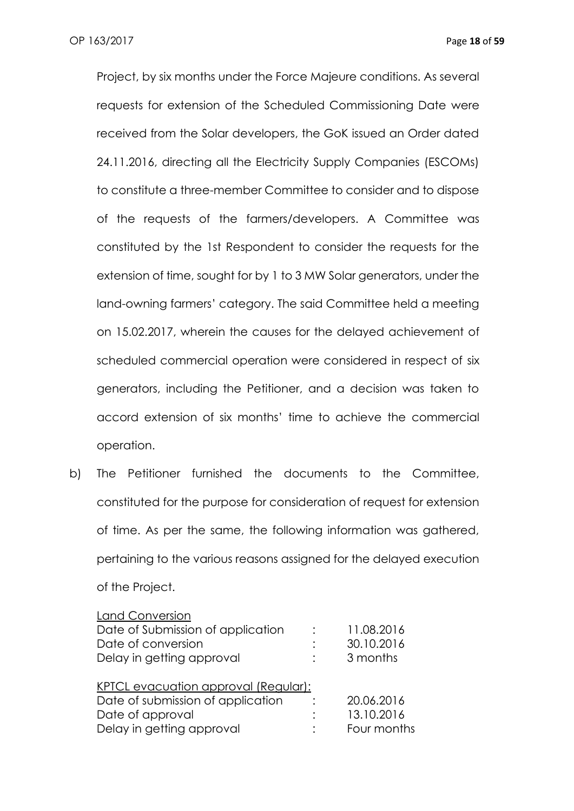Project, by six months under the Force Majeure conditions. As several requests for extension of the Scheduled Commissioning Date were received from the Solar developers, the GoK issued an Order dated 24.11.2016, directing all the Electricity Supply Companies (ESCOMs) to constitute a three-member Committee to consider and to dispose of the requests of the farmers/developers. A Committee was constituted by the 1st Respondent to consider the requests for the extension of time, sought for by 1 to 3 MW Solar generators, under the land-owning farmers' category. The said Committee held a meeting on 15.02.2017, wherein the causes for the delayed achievement of scheduled commercial operation were considered in respect of six generators, including the Petitioner, and a decision was taken to accord extension of six months' time to achieve the commercial operation.

b) The Petitioner furnished the documents to the Committee, constituted for the purpose for consideration of request for extension of time. As per the same, the following information was gathered, pertaining to the various reasons assigned for the delayed execution of the Project.

| <b>Land Conversion</b>               |             |
|--------------------------------------|-------------|
| Date of Submission of application    | 11.08.2016  |
| Date of conversion                   | 30.10.2016  |
| Delay in getting approval            | 3 months    |
|                                      |             |
| KPTCL evacuation approval (Regular): |             |
| Date of submission of application    | 20.06.2016  |
| Date of approval                     | 13.10.2016  |
| Delay in getting approval            | Four months |
|                                      |             |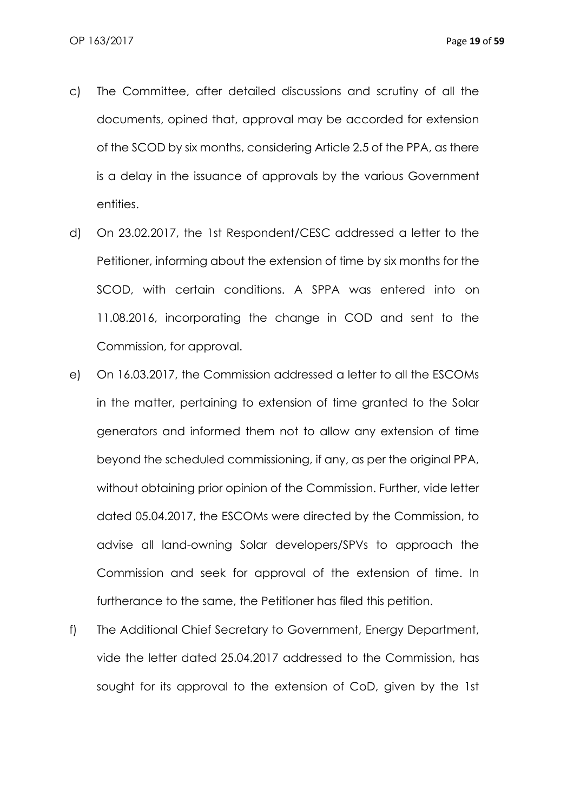- c) The Committee, after detailed discussions and scrutiny of all the documents, opined that, approval may be accorded for extension of the SCOD by six months, considering Article 2.5 of the PPA, as there is a delay in the issuance of approvals by the various Government entities.
- d) On 23.02.2017, the 1st Respondent/CESC addressed a letter to the Petitioner, informing about the extension of time by six months for the SCOD, with certain conditions. A SPPA was entered into on 11.08.2016, incorporating the change in COD and sent to the Commission, for approval.
- e) On 16.03.2017, the Commission addressed a letter to all the ESCOMs in the matter, pertaining to extension of time granted to the Solar generators and informed them not to allow any extension of time beyond the scheduled commissioning, if any, as per the original PPA, without obtaining prior opinion of the Commission. Further, vide letter dated 05.04.2017, the ESCOMs were directed by the Commission, to advise all land-owning Solar developers/SPVs to approach the Commission and seek for approval of the extension of time. In furtherance to the same, the Petitioner has filed this petition.
- f) The Additional Chief Secretary to Government, Energy Department, vide the letter dated 25.04.2017 addressed to the Commission, has sought for its approval to the extension of CoD, given by the 1st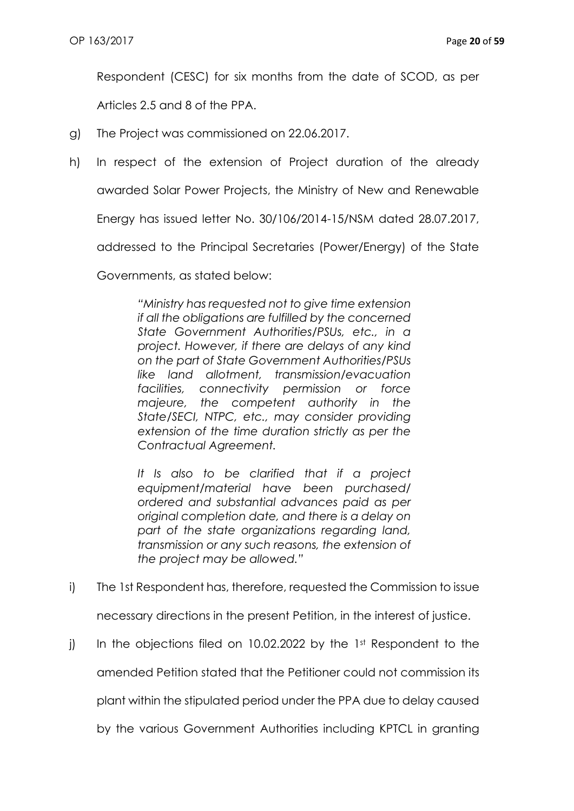Respondent (CESC) for six months from the date of SCOD, as per

Articles 2.5 and 8 of the PPA.

- g) The Project was commissioned on 22.06.2017.
- h) In respect of the extension of Project duration of the already

awarded Solar Power Projects, the Ministry of New and Renewable

Energy has issued letter No. 30/106/2014-15/NSM dated 28.07.2017,

addressed to the Principal Secretaries (Power/Energy) of the State

Governments, as stated below:

*"Ministry has requested not to give time extension if all the obligations are fulfilled by the concerned State Government Authorities/PSUs, etc., in a project. However, if there are delays of any kind on the part of State Government Authorities/PSUs like land allotment, transmission/evacuation facilities, connectivity permission or force majeure, the competent authority in the State/SECI, NTPC, etc., may consider providing extension of the time duration strictly as per the Contractual Agreement.*

*It Is also to be clarified that if a project equipment/material have been purchased/ ordered and substantial advances paid as per original completion date, and there is a delay on part of the state organizations regarding land, transmission or any such reasons, the extension of the project may be allowed."*

i) The 1st Respondent has, therefore, requested the Commission to issue

necessary directions in the present Petition, in the interest of justice.

j) In the objections filed on 10.02.2022 by the 1st Respondent to the amended Petition stated that the Petitioner could not commission its plant within the stipulated period under the PPA due to delay caused by the various Government Authorities including KPTCL in granting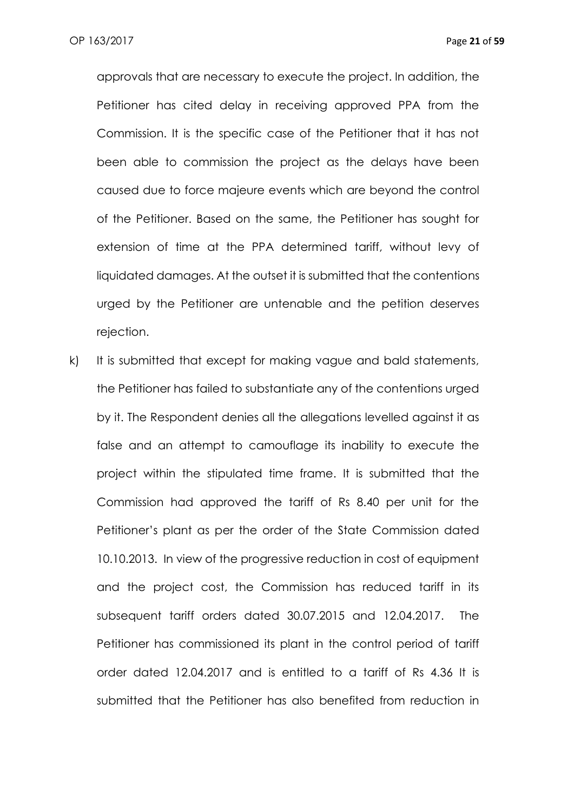approvals that are necessary to execute the project. In addition, the Petitioner has cited delay in receiving approved PPA from the Commission. It is the specific case of the Petitioner that it has not been able to commission the project as the delays have been caused due to force majeure events which are beyond the control of the Petitioner. Based on the same, the Petitioner has sought for extension of time at the PPA determined tariff, without levy of liquidated damages. At the outset it is submitted that the contentions urged by the Petitioner are untenable and the petition deserves rejection.

k) It is submitted that except for making vague and bald statements, the Petitioner has failed to substantiate any of the contentions urged by it. The Respondent denies all the allegations levelled against it as false and an attempt to camouflage its inability to execute the project within the stipulated time frame. It is submitted that the Commission had approved the tariff of Rs 8.40 per unit for the Petitioner's plant as per the order of the State Commission dated 10.10.2013. In view of the progressive reduction in cost of equipment and the project cost, the Commission has reduced tariff in its subsequent tariff orders dated 30.07.2015 and 12.04.2017. The Petitioner has commissioned its plant in the control period of tariff order dated 12.04.2017 and is entitled to a tariff of Rs 4.36 It is submitted that the Petitioner has also benefited from reduction in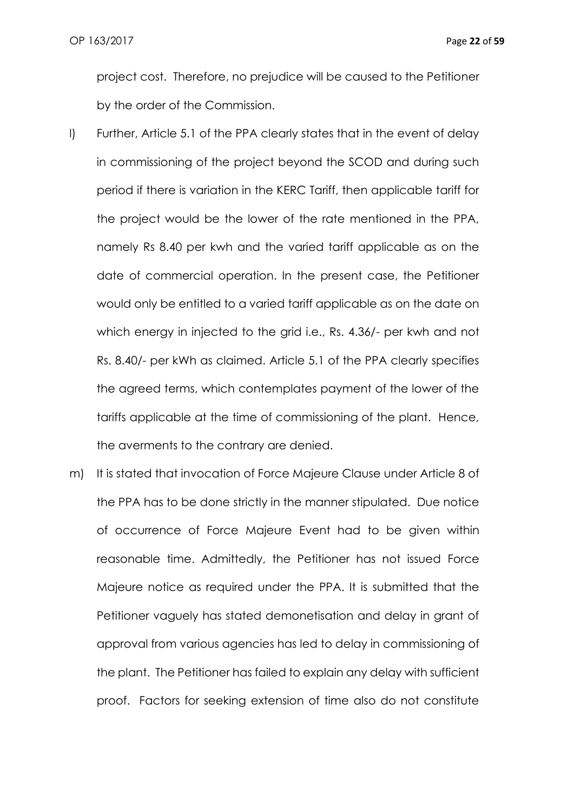project cost. Therefore, no prejudice will be caused to the Petitioner by the order of the Commission.

- l) Further, Article 5.1 of the PPA clearly states that in the event of delay in commissioning of the project beyond the SCOD and during such period if there is variation in the KERC Tariff, then applicable tariff for the project would be the lower of the rate mentioned in the PPA, namely Rs 8.40 per kwh and the varied tariff applicable as on the date of commercial operation. In the present case, the Petitioner would only be entitled to a varied tariff applicable as on the date on which energy in injected to the grid i.e., Rs. 4.36/- per kwh and not Rs. 8.40/- per kWh as claimed. Article 5.1 of the PPA clearly specifies the agreed terms, which contemplates payment of the lower of the tariffs applicable at the time of commissioning of the plant. Hence, the averments to the contrary are denied.
- m) It is stated that invocation of Force Majeure Clause under Article 8 of the PPA has to be done strictly in the manner stipulated. Due notice of occurrence of Force Majeure Event had to be given within reasonable time. Admittedly, the Petitioner has not issued Force Majeure notice as required under the PPA. It is submitted that the Petitioner vaguely has stated demonetisation and delay in grant of approval from various agencies has led to delay in commissioning of the plant. The Petitioner has failed to explain any delay with sufficient proof. Factors for seeking extension of time also do not constitute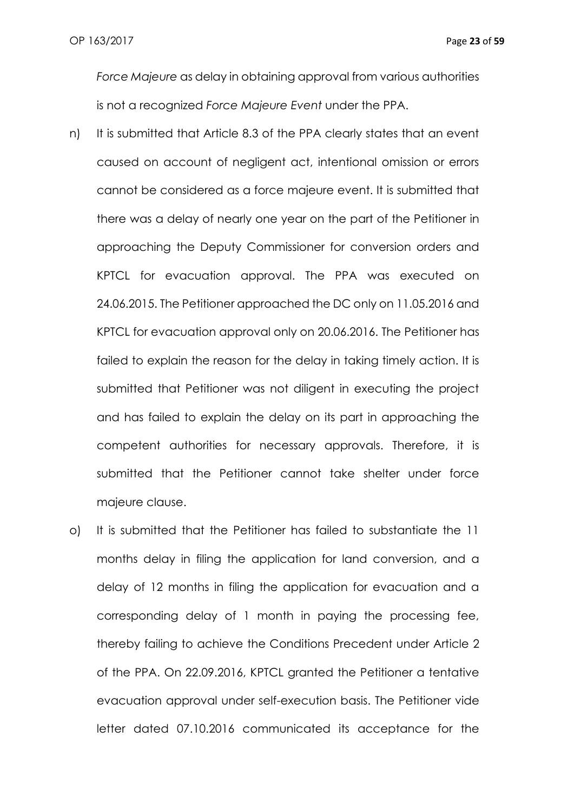*Force Majeure* as delay in obtaining approval from various authorities is not a recognized *Force Majeure Event* under the PPA.

- n) It is submitted that Article 8.3 of the PPA clearly states that an event caused on account of negligent act, intentional omission or errors cannot be considered as a force majeure event. It is submitted that there was a delay of nearly one year on the part of the Petitioner in approaching the Deputy Commissioner for conversion orders and KPTCL for evacuation approval. The PPA was executed on 24.06.2015. The Petitioner approached the DC only on 11.05.2016 and KPTCL for evacuation approval only on 20.06.2016. The Petitioner has failed to explain the reason for the delay in taking timely action. It is submitted that Petitioner was not diligent in executing the project and has failed to explain the delay on its part in approaching the competent authorities for necessary approvals. Therefore, it is submitted that the Petitioner cannot take shelter under force majeure clause.
- o) It is submitted that the Petitioner has failed to substantiate the 11 months delay in filing the application for land conversion, and a delay of 12 months in filing the application for evacuation and a corresponding delay of 1 month in paying the processing fee, thereby failing to achieve the Conditions Precedent under Article 2 of the PPA. On 22.09.2016, KPTCL granted the Petitioner a tentative evacuation approval under self-execution basis. The Petitioner vide letter dated 07.10.2016 communicated its acceptance for the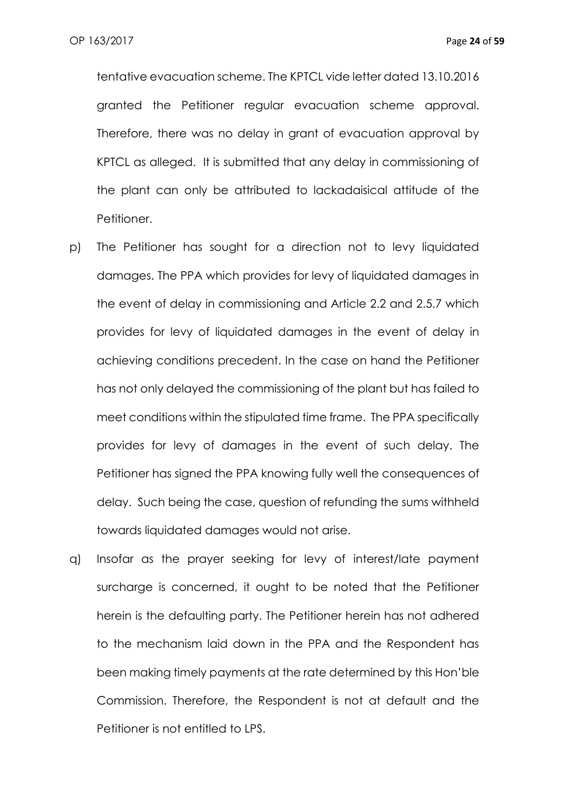tentative evacuation scheme. The KPTCL vide letter dated 13.10.2016 granted the Petitioner regular evacuation scheme approval. Therefore, there was no delay in grant of evacuation approval by KPTCL as alleged. It is submitted that any delay in commissioning of the plant can only be attributed to lackadaisical attitude of the Petitioner.

- p) The Petitioner has sought for a direction not to levy liquidated damages. The PPA which provides for levy of liquidated damages in the event of delay in commissioning and Article 2.2 and 2.5.7 which provides for levy of liquidated damages in the event of delay in achieving conditions precedent. In the case on hand the Petitioner has not only delayed the commissioning of the plant but has failed to meet conditions within the stipulated time frame. The PPA specifically provides for levy of damages in the event of such delay. The Petitioner has signed the PPA knowing fully well the consequences of delay. Such being the case, question of refunding the sums withheld towards liquidated damages would not arise.
- q) Insofar as the prayer seeking for levy of interest/late payment surcharge is concerned, it ought to be noted that the Petitioner herein is the defaulting party. The Petitioner herein has not adhered to the mechanism laid down in the PPA and the Respondent has been making timely payments at the rate determined by this Hon'ble Commission. Therefore, the Respondent is not at default and the Petitioner is not entitled to LPS.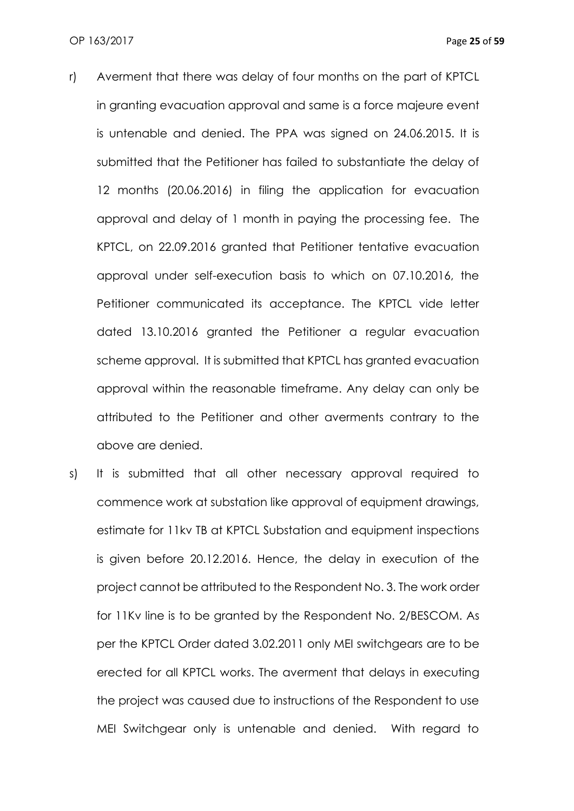- r) Averment that there was delay of four months on the part of KPTCL in granting evacuation approval and same is a force majeure event is untenable and denied. The PPA was signed on 24.06.2015. It is submitted that the Petitioner has failed to substantiate the delay of 12 months (20.06.2016) in filing the application for evacuation approval and delay of 1 month in paying the processing fee. The KPTCL, on 22.09.2016 granted that Petitioner tentative evacuation approval under self-execution basis to which on 07.10.2016, the Petitioner communicated its acceptance. The KPTCL vide letter dated 13.10.2016 granted the Petitioner a regular evacuation scheme approval. It is submitted that KPTCL has granted evacuation approval within the reasonable timeframe. Any delay can only be attributed to the Petitioner and other averments contrary to the above are denied.
- s) It is submitted that all other necessary approval required to commence work at substation like approval of equipment drawings, estimate for 11kv TB at KPTCL Substation and equipment inspections is given before 20.12.2016. Hence, the delay in execution of the project cannot be attributed to the Respondent No. 3. The work order for 11Kv line is to be granted by the Respondent No. 2/BESCOM. As per the KPTCL Order dated 3.02.2011 only MEI switchgears are to be erected for all KPTCL works. The averment that delays in executing the project was caused due to instructions of the Respondent to use MEI Switchgear only is untenable and denied. With regard to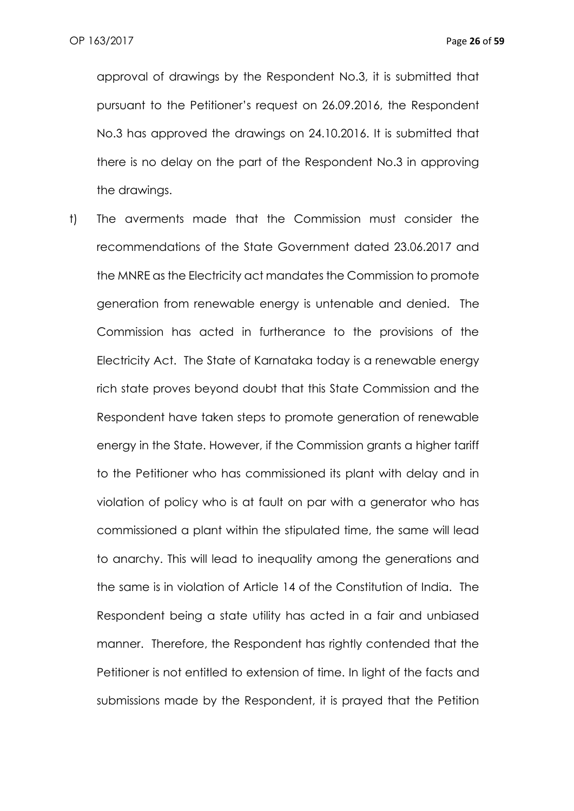approval of drawings by the Respondent No.3, it is submitted that pursuant to the Petitioner's request on 26.09.2016, the Respondent No.3 has approved the drawings on 24.10.2016. It is submitted that there is no delay on the part of the Respondent No.3 in approving the drawings.

t) The averments made that the Commission must consider the recommendations of the State Government dated 23.06.2017 and the MNRE as the Electricity act mandates the Commission to promote generation from renewable energy is untenable and denied. The Commission has acted in furtherance to the provisions of the Electricity Act. The State of Karnataka today is a renewable energy rich state proves beyond doubt that this State Commission and the Respondent have taken steps to promote generation of renewable energy in the State. However, if the Commission grants a higher tariff to the Petitioner who has commissioned its plant with delay and in violation of policy who is at fault on par with a generator who has commissioned a plant within the stipulated time, the same will lead to anarchy. This will lead to inequality among the generations and the same is in violation of Article 14 of the Constitution of India. The Respondent being a state utility has acted in a fair and unbiased manner. Therefore, the Respondent has rightly contended that the Petitioner is not entitled to extension of time. In light of the facts and submissions made by the Respondent, it is prayed that the Petition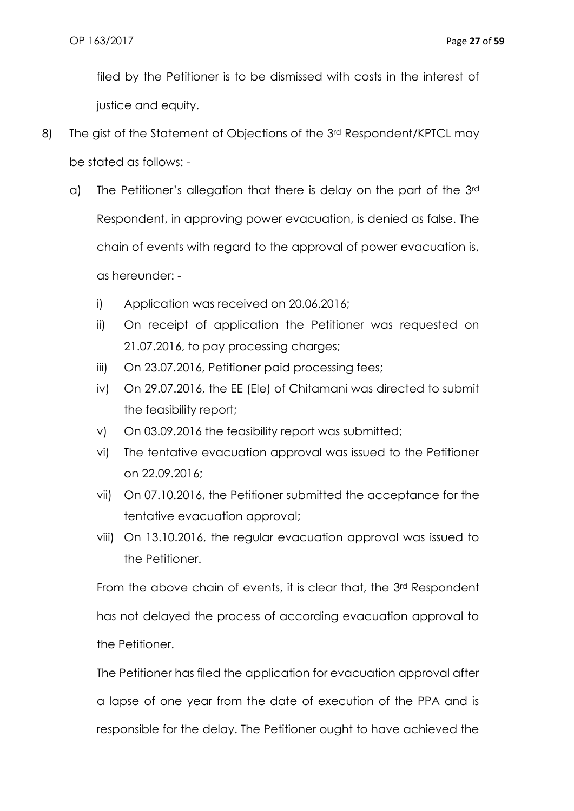filed by the Petitioner is to be dismissed with costs in the interest of justice and equity.

- 8) The gist of the Statement of Objections of the 3<sup>rd</sup> Respondent/KPTCL may be stated as follows:
	- a) The Petitioner's allegation that there is delay on the part of the 3rd Respondent, in approving power evacuation, is denied as false. The chain of events with regard to the approval of power evacuation is, as hereunder:
		- i) Application was received on 20.06.2016;
		- ii) On receipt of application the Petitioner was requested on 21.07.2016, to pay processing charges;
		- iii) On 23.07.2016, Petitioner paid processing fees;
		- iv) On 29.07.2016, the EE (Ele) of Chitamani was directed to submit the feasibility report;
		- v) On 03.09.2016 the feasibility report was submitted;
		- vi) The tentative evacuation approval was issued to the Petitioner on 22.09.2016;
		- vii) On 07.10.2016, the Petitioner submitted the acceptance for the tentative evacuation approval;
		- viii) On 13.10.2016, the regular evacuation approval was issued to the Petitioner.

From the above chain of events, it is clear that, the 3<sup>rd</sup> Respondent has not delayed the process of according evacuation approval to the Petitioner.

The Petitioner has filed the application for evacuation approval after a lapse of one year from the date of execution of the PPA and is responsible for the delay. The Petitioner ought to have achieved the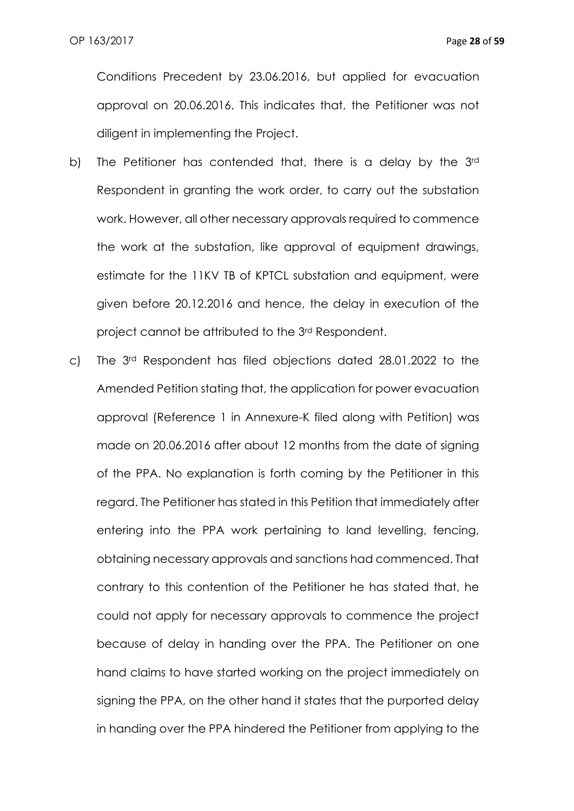Conditions Precedent by 23.06.2016, but applied for evacuation approval on 20.06.2016. This indicates that, the Petitioner was not diligent in implementing the Project.

- b) The Petitioner has contended that, there is a delay by the 3rd Respondent in granting the work order, to carry out the substation work. However, all other necessary approvals required to commence the work at the substation, like approval of equipment drawings, estimate for the 11KV TB of KPTCL substation and equipment, were given before 20.12.2016 and hence, the delay in execution of the project cannot be attributed to the 3rd Respondent.
- c) The 3rd Respondent has filed objections dated 28.01.2022 to the Amended Petition stating that, the application for power evacuation approval (Reference 1 in Annexure-K filed along with Petition) was made on 20.06.2016 after about 12 months from the date of signing of the PPA. No explanation is forth coming by the Petitioner in this regard. The Petitioner has stated in this Petition that immediately after entering into the PPA work pertaining to land levelling, fencing, obtaining necessary approvals and sanctions had commenced. That contrary to this contention of the Petitioner he has stated that, he could not apply for necessary approvals to commence the project because of delay in handing over the PPA. The Petitioner on one hand claims to have started working on the project immediately on signing the PPA, on the other hand it states that the purported delay in handing over the PPA hindered the Petitioner from applying to the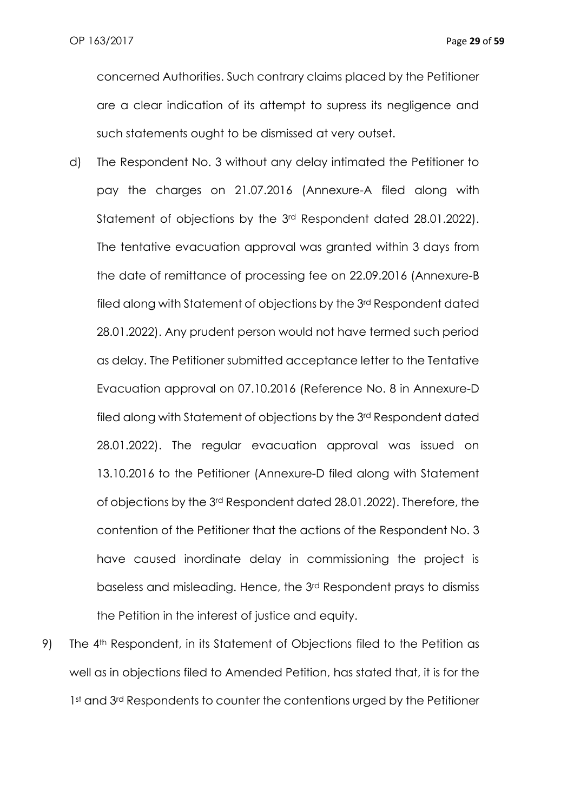concerned Authorities. Such contrary claims placed by the Petitioner are a clear indication of its attempt to supress its negligence and such statements ought to be dismissed at very outset.

- d) The Respondent No. 3 without any delay intimated the Petitioner to pay the charges on 21.07.2016 (Annexure-A filed along with Statement of objections by the 3rd Respondent dated 28.01.2022). The tentative evacuation approval was granted within 3 days from the date of remittance of processing fee on 22.09.2016 (Annexure-B filed along with Statement of objections by the 3rd Respondent dated 28.01.2022). Any prudent person would not have termed such period as delay. The Petitioner submitted acceptance letter to the Tentative Evacuation approval on 07.10.2016 (Reference No. 8 in Annexure-D filed along with Statement of objections by the 3rd Respondent dated 28.01.2022). The regular evacuation approval was issued on 13.10.2016 to the Petitioner (Annexure-D filed along with Statement of objections by the 3rd Respondent dated 28.01.2022). Therefore, the contention of the Petitioner that the actions of the Respondent No. 3 have caused inordinate delay in commissioning the project is baseless and misleading. Hence, the 3rd Respondent prays to dismiss the Petition in the interest of justice and equity.
- 9) The 4th Respondent, in its Statement of Objections filed to the Petition as well as in objections filed to Amended Petition, has stated that, it is for the 1st and 3rd Respondents to counter the contentions urged by the Petitioner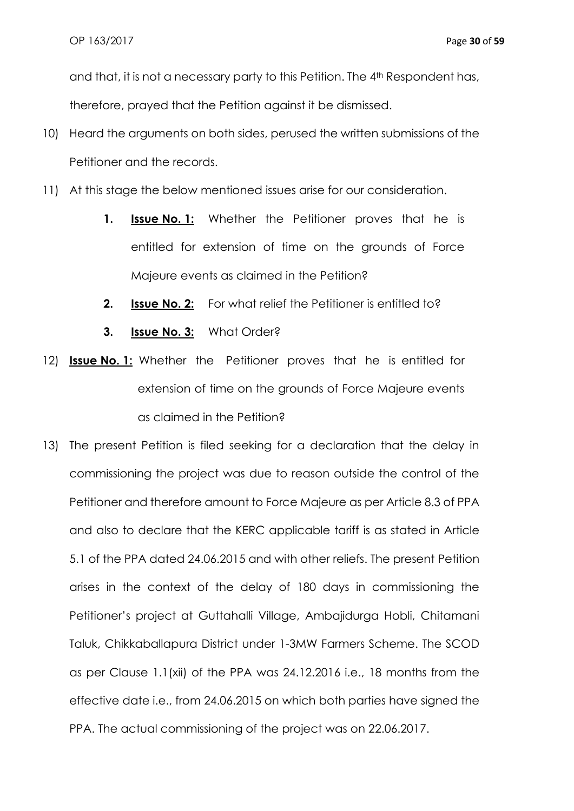and that, it is not a necessary party to this Petition. The 4<sup>th</sup> Respondent has, therefore, prayed that the Petition against it be dismissed.

- 10) Heard the arguments on both sides, perused the written submissions of the Petitioner and the records.
- 11) At this stage the below mentioned issues arise for our consideration.
	- **1. Issue No. 1:** Whether the Petitioner proves that he is entitled for extension of time on the grounds of Force Majeure events as claimed in the Petition?
	- **2. Issue No. 2:** For what relief the Petitioner is entitled to?
	- **3. Issue No. 3:** What Order?
- 12) **Issue No. 1:** Whether the Petitioner proves that he is entitled for extension of time on the grounds of Force Majeure events as claimed in the Petition?
- 13) The present Petition is filed seeking for a declaration that the delay in commissioning the project was due to reason outside the control of the Petitioner and therefore amount to Force Majeure as per Article 8.3 of PPA and also to declare that the KERC applicable tariff is as stated in Article 5.1 of the PPA dated 24.06.2015 and with other reliefs. The present Petition arises in the context of the delay of 180 days in commissioning the Petitioner's project at Guttahalli Village, Ambajidurga Hobli, Chitamani Taluk, Chikkaballapura District under 1-3MW Farmers Scheme. The SCOD as per Clause 1.1(xii) of the PPA was 24.12.2016 i.e., 18 months from the effective date i.e., from 24.06.2015 on which both parties have signed the PPA. The actual commissioning of the project was on 22.06.2017.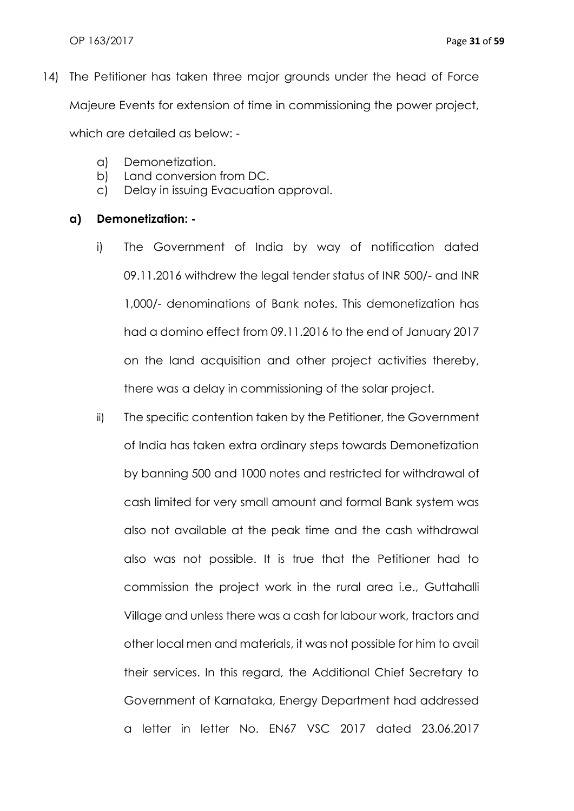14) The Petitioner has taken three major grounds under the head of Force Majeure Events for extension of time in commissioning the power project,

which are detailed as below: -

- a) Demonetization.
- b) Land conversion from DC.
- c) Delay in issuing Evacuation approval.

### **a) Demonetization: -**

- i) The Government of India by way of notification dated 09.11.2016 withdrew the legal tender status of INR 500/- and INR 1,000/- denominations of Bank notes. This demonetization has had a domino effect from 09.11.2016 to the end of January 2017 on the land acquisition and other project activities thereby, there was a delay in commissioning of the solar project.
- ii) The specific contention taken by the Petitioner, the Government of India has taken extra ordinary steps towards Demonetization by banning 500 and 1000 notes and restricted for withdrawal of cash limited for very small amount and formal Bank system was also not available at the peak time and the cash withdrawal also was not possible. It is true that the Petitioner had to commission the project work in the rural area i.e., Guttahalli Village and unless there was a cash for labour work, tractors and other local men and materials, it was not possible for him to avail their services. In this regard, the Additional Chief Secretary to Government of Karnataka, Energy Department had addressed a letter in letter No. EN67 VSC 2017 dated 23.06.2017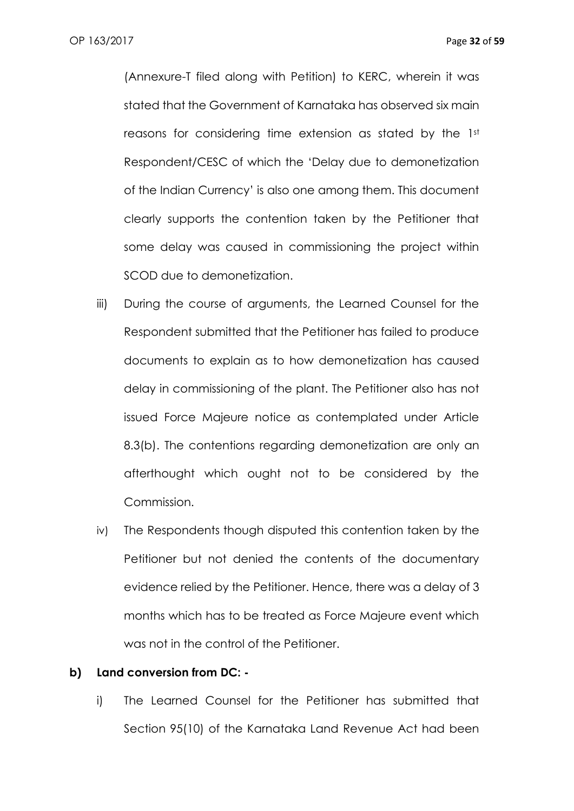(Annexure-T filed along with Petition) to KERC, wherein it was stated that the Government of Karnataka has observed six main reasons for considering time extension as stated by the 1st Respondent/CESC of which the 'Delay due to demonetization of the Indian Currency' is also one among them. This document clearly supports the contention taken by the Petitioner that some delay was caused in commissioning the project within SCOD due to demonetization.

- iii) During the course of arguments, the Learned Counsel for the Respondent submitted that the Petitioner has failed to produce documents to explain as to how demonetization has caused delay in commissioning of the plant. The Petitioner also has not issued Force Majeure notice as contemplated under Article 8.3(b). The contentions regarding demonetization are only an afterthought which ought not to be considered by the Commission.
- iv) The Respondents though disputed this contention taken by the Petitioner but not denied the contents of the documentary evidence relied by the Petitioner. Hence, there was a delay of 3 months which has to be treated as Force Majeure event which was not in the control of the Petitioner.

#### **b) Land conversion from DC: -**

i) The Learned Counsel for the Petitioner has submitted that Section 95(10) of the Karnataka Land Revenue Act had been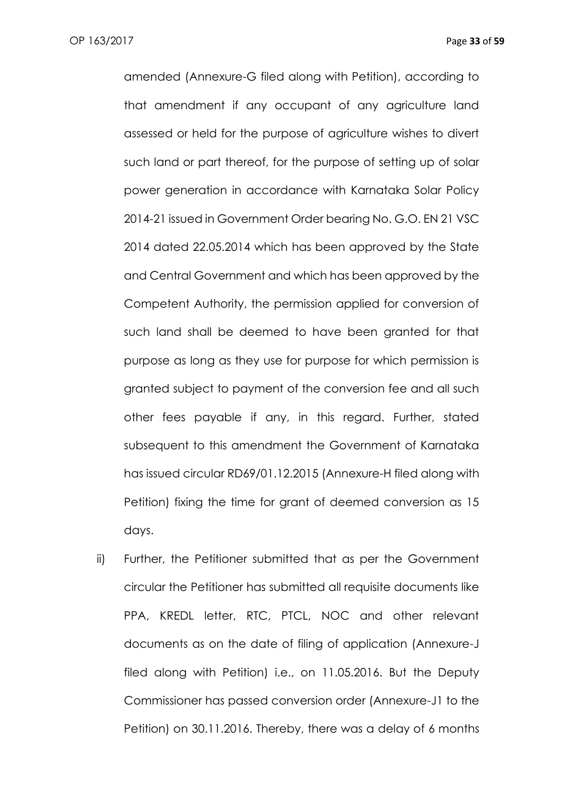amended (Annexure-G filed along with Petition), according to that amendment if any occupant of any agriculture land assessed or held for the purpose of agriculture wishes to divert such land or part thereof, for the purpose of setting up of solar power generation in accordance with Karnataka Solar Policy 2014-21 issued in Government Order bearing No. G.O. EN 21 VSC 2014 dated 22.05.2014 which has been approved by the State and Central Government and which has been approved by the Competent Authority, the permission applied for conversion of such land shall be deemed to have been granted for that purpose as long as they use for purpose for which permission is granted subject to payment of the conversion fee and all such other fees payable if any, in this regard. Further, stated subsequent to this amendment the Government of Karnataka has issued circular RD69/01.12.2015 (Annexure-H filed along with Petition) fixing the time for grant of deemed conversion as 15 days.

ii) Further, the Petitioner submitted that as per the Government circular the Petitioner has submitted all requisite documents like PPA, KREDL letter, RTC, PTCL, NOC and other relevant documents as on the date of filing of application (Annexure-J filed along with Petition) i.e., on 11.05.2016. But the Deputy Commissioner has passed conversion order (Annexure-J1 to the Petition) on 30.11.2016. Thereby, there was a delay of 6 months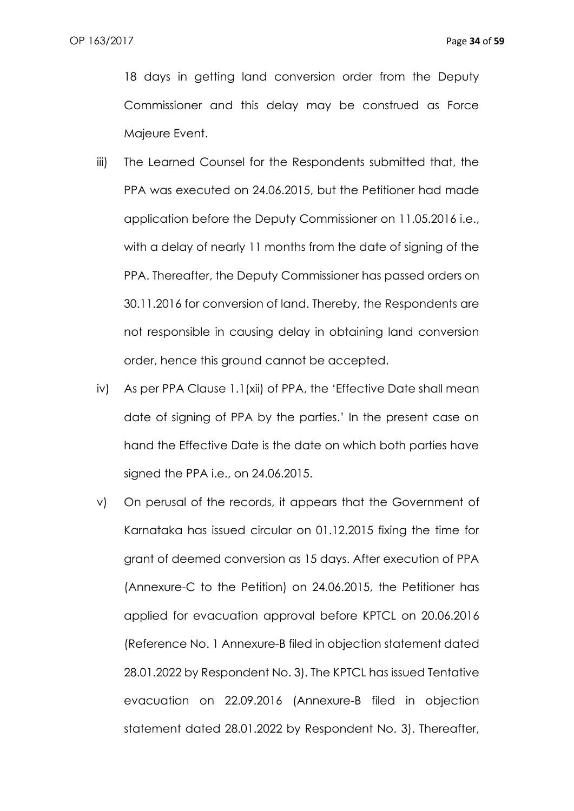18 days in getting land conversion order from the Deputy Commissioner and this delay may be construed as Force Majeure Event.

- iii) The Learned Counsel for the Respondents submitted that, the PPA was executed on 24.06.2015, but the Petitioner had made application before the Deputy Commissioner on 11.05.2016 i.e., with a delay of nearly 11 months from the date of signing of the PPA. Thereafter, the Deputy Commissioner has passed orders on 30.11.2016 for conversion of land. Thereby, the Respondents are not responsible in causing delay in obtaining land conversion order, hence this ground cannot be accepted.
- iv) As per PPA Clause 1.1(xii) of PPA, the 'Effective Date shall mean date of signing of PPA by the parties.' In the present case on hand the Effective Date is the date on which both parties have signed the PPA i.e., on 24.06.2015.
- v) On perusal of the records, it appears that the Government of Karnataka has issued circular on 01.12.2015 fixing the time for grant of deemed conversion as 15 days. After execution of PPA (Annexure-C to the Petition) on 24.06.2015, the Petitioner has applied for evacuation approval before KPTCL on 20.06.2016 (Reference No. 1 Annexure-B filed in objection statement dated 28.01.2022 by Respondent No. 3). The KPTCL has issued Tentative evacuation on 22.09.2016 (Annexure-B filed in objection statement dated 28.01.2022 by Respondent No. 3). Thereafter,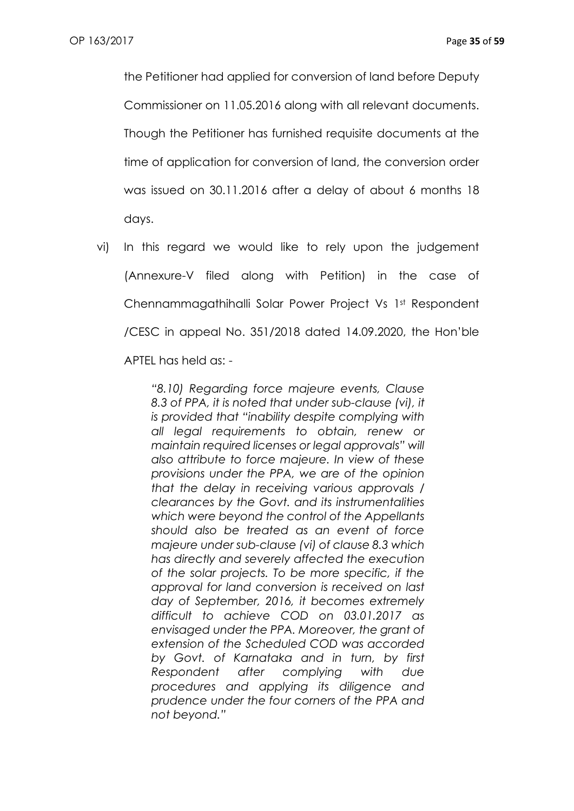the Petitioner had applied for conversion of land before Deputy Commissioner on 11.05.2016 along with all relevant documents. Though the Petitioner has furnished requisite documents at the time of application for conversion of land, the conversion order was issued on 30.11.2016 after a delay of about 6 months 18 days.

vi) In this regard we would like to rely upon the judgement (Annexure-V filed along with Petition) in the case of Chennammagathihalli Solar Power Project Vs 1st Respondent /CESC in appeal No. 351/2018 dated 14.09.2020, the Hon'ble APTEL has held as: -

> *"8.10) Regarding force majeure events, Clause 8.3 of PPA, it is noted that under sub-clause (vi), it is provided that "inability despite complying with all legal requirements to obtain, renew or maintain required licenses or legal approvals" will also attribute to force majeure. In view of these provisions under the PPA, we are of the opinion that the delay in receiving various approvals / clearances by the Govt. and its instrumentalities which were beyond the control of the Appellants should also be treated as an event of force majeure under sub-clause (vi) of clause 8.3 which has directly and severely affected the execution of the solar projects. To be more specific, if the approval for land conversion is received on last day of September, 2016, it becomes extremely difficult to achieve COD on 03.01.2017 as envisaged under the PPA. Moreover, the grant of extension of the Scheduled COD was accorded by Govt. of Karnataka and in turn, by first Respondent after complying with due procedures and applying its diligence and prudence under the four corners of the PPA and not beyond."*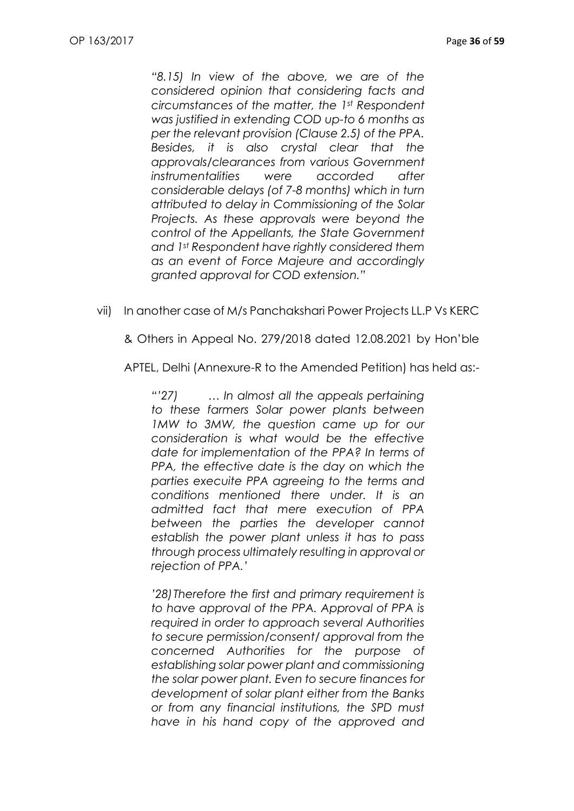*"8.15) In view of the above, we are of the considered opinion that considering facts and circumstances of the matter, the 1st Respondent was justified in extending COD up-to 6 months as per the relevant provision (Clause 2.5) of the PPA. Besides, it is also crystal clear that the approvals/clearances from various Government instrumentalities were accorded after considerable delays (of 7-8 months) which in turn attributed to delay in Commissioning of the Solar Projects. As these approvals were beyond the control of the Appellants, the State Government and 1st Respondent have rightly considered them as an event of Force Majeure and accordingly granted approval for COD extension."*

vii) In another case of M/s Panchakshari Power Projects LL.P Vs KERC

& Others in Appeal No. 279/2018 dated 12.08.2021 by Hon'ble

APTEL, Delhi (Annexure-R to the Amended Petition) has held as:-

*"'27) … In almost all the appeals pertaining to these farmers Solar power plants between 1MW to 3MW, the question came up for our consideration is what would be the effective date for implementation of the PPA? In terms of PPA, the effective date is the day on which the parties execuite PPA agreeing to the terms and conditions mentioned there under. It is an admitted fact that mere execution of PPA between the parties the developer cannot establish the power plant unless it has to pass through process ultimately resulting in approval or rejection of PPA.'*

*'28)Therefore the first and primary requirement is to have approval of the PPA. Approval of PPA is required in order to approach several Authorities to secure permission/consent/ approval from the concerned Authorities for the purpose of establishing solar power plant and commissioning the solar power plant. Even to secure finances for development of solar plant either from the Banks or from any financial institutions, the SPD must have in his hand copy of the approved and*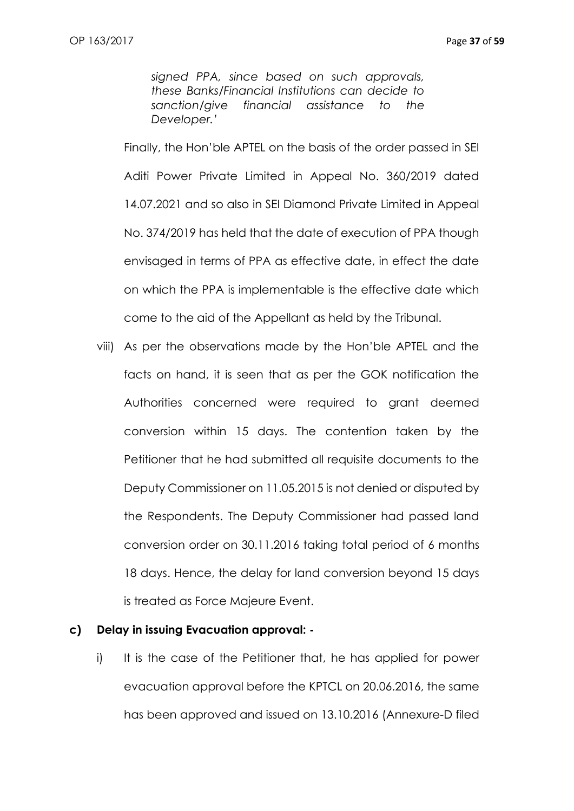*signed PPA, since based on such approvals, these Banks/Financial Institutions can decide to sanction/give financial assistance to the Developer.'*

Finally, the Hon'ble APTEL on the basis of the order passed in SEI Aditi Power Private Limited in Appeal No. 360/2019 dated 14.07.2021 and so also in SEI Diamond Private Limited in Appeal No. 374/2019 has held that the date of execution of PPA though envisaged in terms of PPA as effective date, in effect the date on which the PPA is implementable is the effective date which come to the aid of the Appellant as held by the Tribunal.

viii) As per the observations made by the Hon'ble APTEL and the facts on hand, it is seen that as per the GOK notification the Authorities concerned were required to grant deemed conversion within 15 days. The contention taken by the Petitioner that he had submitted all requisite documents to the Deputy Commissioner on 11.05.2015 is not denied or disputed by the Respondents. The Deputy Commissioner had passed land conversion order on 30.11.2016 taking total period of 6 months 18 days. Hence, the delay for land conversion beyond 15 days is treated as Force Majeure Event.

### **c) Delay in issuing Evacuation approval: -**

i) It is the case of the Petitioner that, he has applied for power evacuation approval before the KPTCL on 20.06.2016, the same has been approved and issued on 13.10.2016 (Annexure-D filed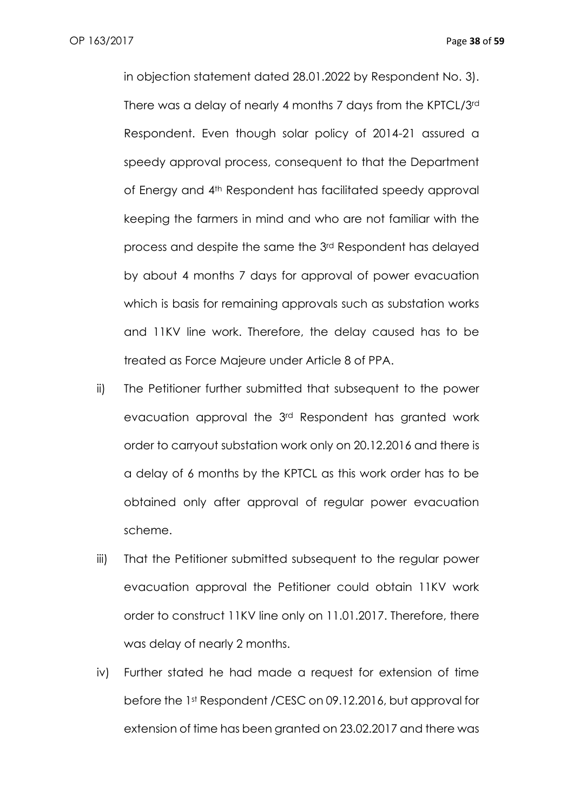in objection statement dated 28.01.2022 by Respondent No. 3). There was a delay of nearly 4 months 7 days from the KPTCL/3rd Respondent. Even though solar policy of 2014-21 assured a speedy approval process, consequent to that the Department of Energy and 4th Respondent has facilitated speedy approval keeping the farmers in mind and who are not familiar with the process and despite the same the 3rd Respondent has delayed by about 4 months 7 days for approval of power evacuation which is basis for remaining approvals such as substation works and 11KV line work. Therefore, the delay caused has to be treated as Force Majeure under Article 8 of PPA.

- ii) The Petitioner further submitted that subsequent to the power evacuation approval the 3rd Respondent has granted work order to carryout substation work only on 20.12.2016 and there is a delay of 6 months by the KPTCL as this work order has to be obtained only after approval of regular power evacuation scheme.
- iii) That the Petitioner submitted subsequent to the regular power evacuation approval the Petitioner could obtain 11KV work order to construct 11KV line only on 11.01.2017. Therefore, there was delay of nearly 2 months.
- iv) Further stated he had made a request for extension of time before the 1st Respondent /CESC on 09.12.2016, but approval for extension of time has been granted on 23.02.2017 and there was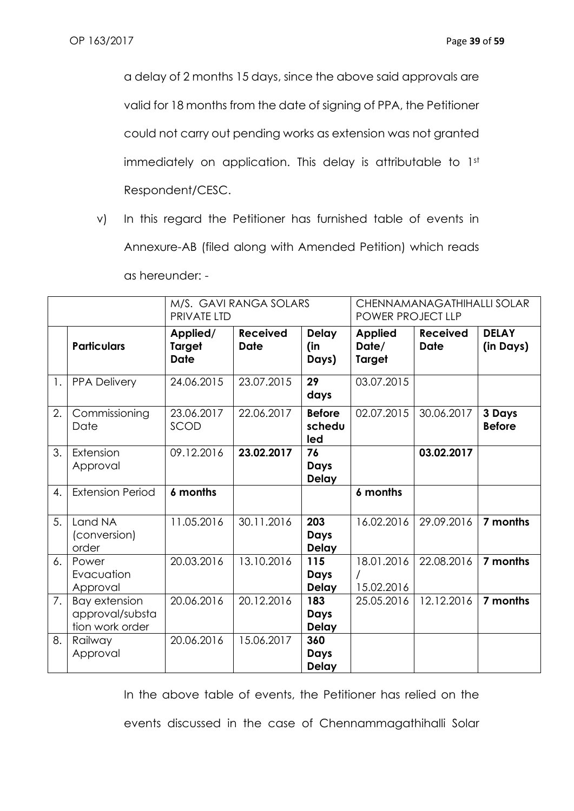a delay of 2 months 15 days, since the above said approvals are valid for 18 months from the date of signing of PPA, the Petitioner could not carry out pending works as extension was not granted immediately on application. This delay is attributable to 1st Respondent/CESC.

v) In this regard the Petitioner has furnished table of events in Annexure-AB (filed along with Amended Petition) which reads as hereunder: -

|    |                                                            | M/S. GAVI RANGA SOLARS<br>CHENNAMANAGATHIHALLI SOLAR<br>PRIVATE LTD<br>POWER PROJECT LLP |                                |                                |                                          |                                |                           |
|----|------------------------------------------------------------|------------------------------------------------------------------------------------------|--------------------------------|--------------------------------|------------------------------------------|--------------------------------|---------------------------|
|    | <b>Particulars</b>                                         | Applied/<br><b>Target</b><br><b>Date</b>                                                 | <b>Received</b><br><b>Date</b> | <b>Delay</b><br>(in<br>Days)   | <b>Applied</b><br>Date/<br><b>Target</b> | <b>Received</b><br><b>Date</b> | <b>DELAY</b><br>(in Days) |
| 1. | <b>PPA Delivery</b>                                        | 24.06.2015                                                                               | 23.07.2015                     | 29<br>days                     | 03.07.2015                               |                                |                           |
| 2. | Commissioning<br>Date                                      | 23.06.2017<br>SCOD                                                                       | 22.06.2017                     | <b>Before</b><br>schedu<br>led | 02.07.2015                               | 30.06.2017                     | 3 Days<br><b>Before</b>   |
| 3. | Extension<br>Approval                                      | 09.12.2016                                                                               | 23.02.2017                     | 76<br>Days<br><b>Delay</b>     |                                          | 03.02.2017                     |                           |
| 4. | <b>Extension Period</b>                                    | 6 months                                                                                 |                                |                                | 6 months                                 |                                |                           |
| 5. | Land NA<br>(conversion)<br>order                           | 11.05.2016                                                                               | 30.11.2016                     | 203<br>Days<br><b>Delay</b>    | 16.02.2016                               | 29.09.2016                     | 7 months                  |
| 6. | Power<br>Evacuation<br>Approval                            | 20.03.2016                                                                               | 13.10.2016                     | 115<br>Days<br><b>Delay</b>    | 18.01.2016<br>15.02.2016                 | 22.08.2016                     | 7 months                  |
| 7. | <b>Bay extension</b><br>approval/substa<br>tion work order | 20.06.2016                                                                               | 20.12.2016                     | 183<br>Days<br><b>Delay</b>    | 25.05.2016                               | 12.12.2016                     | 7 months                  |
| 8. | Railway<br>Approval                                        | 20.06.2016                                                                               | 15.06.2017                     | 360<br>Days<br><b>Delay</b>    |                                          |                                |                           |

In the above table of events, the Petitioner has relied on the

events discussed in the case of Chennammagathihalli Solar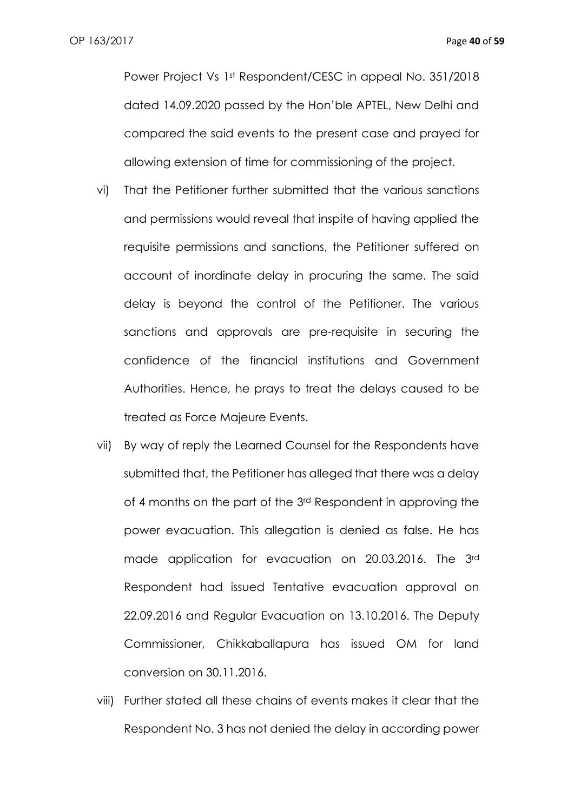Power Project Vs 1st Respondent/CESC in appeal No. 351/2018 dated 14.09.2020 passed by the Hon'ble APTEL, New Delhi and compared the said events to the present case and prayed for allowing extension of time for commissioning of the project.

- vi) That the Petitioner further submitted that the various sanctions and permissions would reveal that inspite of having applied the requisite permissions and sanctions, the Petitioner suffered on account of inordinate delay in procuring the same. The said delay is beyond the control of the Petitioner. The various sanctions and approvals are pre-requisite in securing the confidence of the financial institutions and Government Authorities. Hence, he prays to treat the delays caused to be treated as Force Majeure Events.
- vii) By way of reply the Learned Counsel for the Respondents have submitted that, the Petitioner has alleged that there was a delay of 4 months on the part of the 3rd Respondent in approving the power evacuation. This allegation is denied as false. He has made application for evacuation on 20.03.2016. The 3rd Respondent had issued Tentative evacuation approval on 22.09.2016 and Regular Evacuation on 13.10.2016. The Deputy Commissioner, Chikkaballapura has issued OM for land conversion on 30.11.2016.
- viii) Further stated all these chains of events makes it clear that the Respondent No. 3 has not denied the delay in according power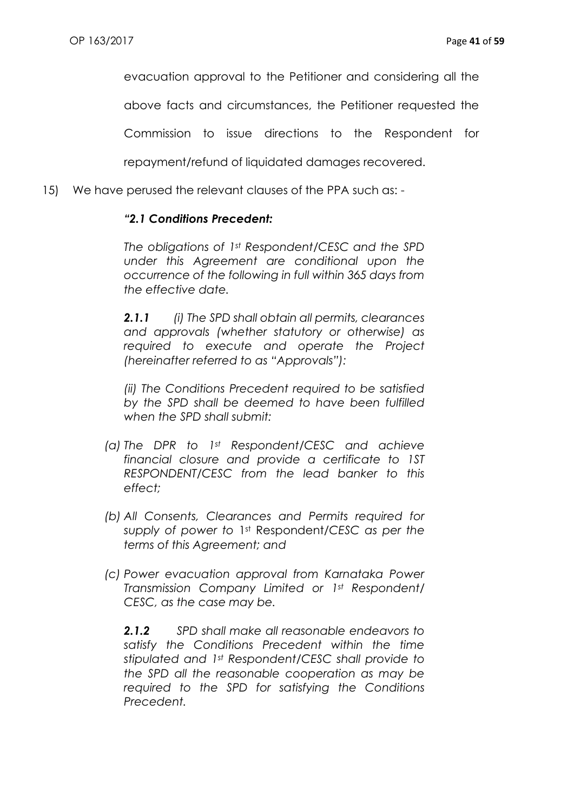evacuation approval to the Petitioner and considering all the

above facts and circumstances, the Petitioner requested the

Commission to issue directions to the Respondent for

repayment/refund of liquidated damages recovered.

15) We have perused the relevant clauses of the PPA such as: -

### *"2.1 Conditions Precedent:*

*The obligations of 1st Respondent/CESC and the SPD under this Agreement are conditional upon the occurrence of the following in full within 365 days from the effective date.*

*2.1.1 (i) The SPD shall obtain all permits, clearances and approvals (whether statutory or otherwise) as required to execute and operate the Project (hereinafter referred to as "Approvals"):*

*(ii) The Conditions Precedent required to be satisfied by the SPD shall be deemed to have been fulfilled when the SPD shall submit:*

- *(a) The DPR to 1st Respondent/CESC and achieve financial closure and provide a certificate to 1ST RESPONDENT/CESC from the lead banker to this effect;*
- *(b) All Consents, Clearances and Permits required for supply of power to* 1st Respondent*/CESC as per the terms of this Agreement; and*
- *(c) Power evacuation approval from Karnataka Power Transmission Company Limited or 1st Respondent/ CESC, as the case may be.*

*2.1.2 SPD shall make all reasonable endeavors to satisfy the Conditions Precedent within the time stipulated and 1st Respondent/CESC shall provide to the SPD all the reasonable cooperation as may be required to the SPD for satisfying the Conditions Precedent.*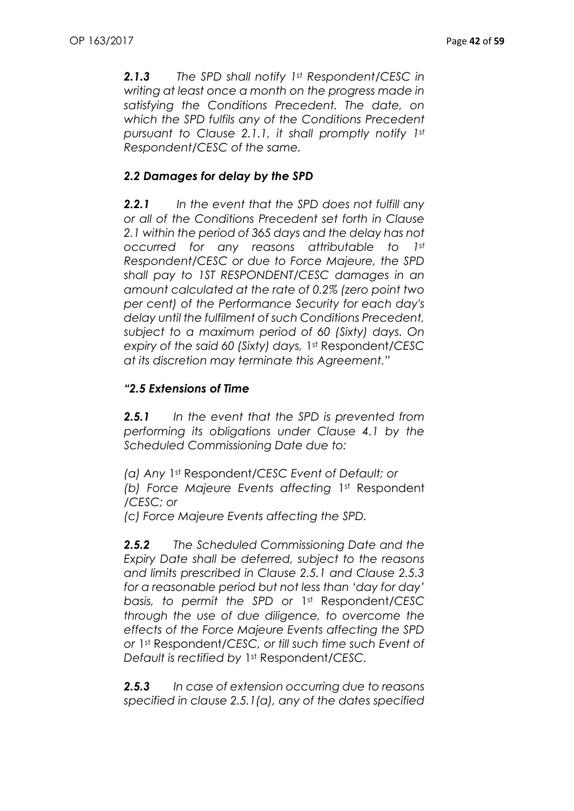*2.1.3 The SPD shall notify 1st Respondent/CESC in writing at least once a month on the progress made in satisfying the Conditions Precedent. The date, on which the SPD fulfils any of the Conditions Precedent pursuant to Clause 2.1.1, it shall promptly notify 1st Respondent/CESC of the same.*

## *2.2 Damages for delay by the SPD*

*2.2.1 In the event that the SPD does not fulfill any or all of the Conditions Precedent set forth in Clause 2.1 within the period of 365 days and the delay has not occurred for any reasons attributable to 1st Respondent/CESC or due to Force Majeure, the SPD shall pay to 1ST RESPONDENT/CESC damages in an amount calculated at the rate of 0.2% (zero point two per cent) of the Performance Security for each day's delay until the fulfilment of such Conditions Precedent, subject to a maximum period of 60 (Sixty) days. On expiry of the said 60 (Sixty) days,* 1st Respondent*/CESC at its discretion may terminate this Agreement."*

### *"2.5 Extensions of Time*

*2.5.1 In the event that the SPD is prevented from performing its obligations under Clause 4.1 by the Scheduled Commissioning Date due to:*

*(a) Any* 1st Respondent*/CESC Event of Default; or (b) Force Majeure Events affecting* 1st Respondent */CESC; or*

*(c) Force Majeure Events affecting the SPD.*

*2.5.2 The Scheduled Commissioning Date and the Expiry Date shall be deferred, subject to the reasons and limits prescribed in Clause 2.5.1 and Clause 2.5.3 for a reasonable period but not less than 'day for day' basis, to permit the SPD or* 1st Respondent*/CESC through the use of due diligence, to overcome the effects of the Force Majeure Events affecting the SPD or* 1st Respondent*/CESC, or till such time such Event of Default is rectified by* 1st Respondent*/CESC.*

*2.5.3 In case of extension occurring due to reasons specified in clause 2.5.1(a), any of the dates specified*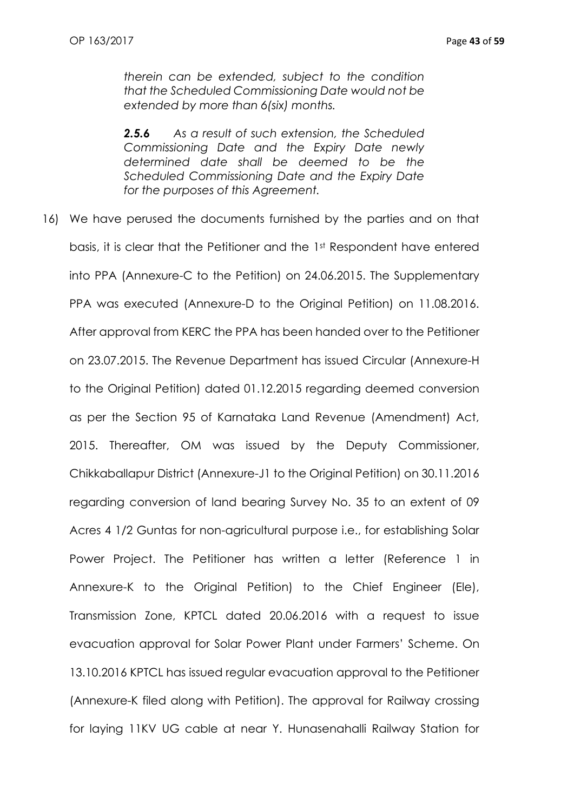*therein can be extended, subject to the condition that the Scheduled Commissioning Date would not be extended by more than 6(six) months.*

*2.5.6 As a result of such extension, the Scheduled Commissioning Date and the Expiry Date newly determined date shall be deemed to be the Scheduled Commissioning Date and the Expiry Date for the purposes of this Agreement.*

16) We have perused the documents furnished by the parties and on that basis, it is clear that the Petitioner and the 1st Respondent have entered into PPA (Annexure-C to the Petition) on 24.06.2015. The Supplementary PPA was executed (Annexure-D to the Original Petition) on 11.08.2016. After approval from KERC the PPA has been handed over to the Petitioner on 23.07.2015. The Revenue Department has issued Circular (Annexure-H to the Original Petition) dated 01.12.2015 regarding deemed conversion as per the Section 95 of Karnataka Land Revenue (Amendment) Act, 2015. Thereafter, OM was issued by the Deputy Commissioner, Chikkaballapur District (Annexure-J1 to the Original Petition) on 30.11.2016 regarding conversion of land bearing Survey No. 35 to an extent of 09 Acres 4 1/2 Guntas for non-agricultural purpose i.e., for establishing Solar Power Project. The Petitioner has written a letter (Reference 1 in Annexure-K to the Original Petition) to the Chief Engineer (Ele), Transmission Zone, KPTCL dated 20.06.2016 with a request to issue evacuation approval for Solar Power Plant under Farmers' Scheme. On 13.10.2016 KPTCL has issued regular evacuation approval to the Petitioner (Annexure-K filed along with Petition). The approval for Railway crossing for laying 11KV UG cable at near Y. Hunasenahalli Railway Station for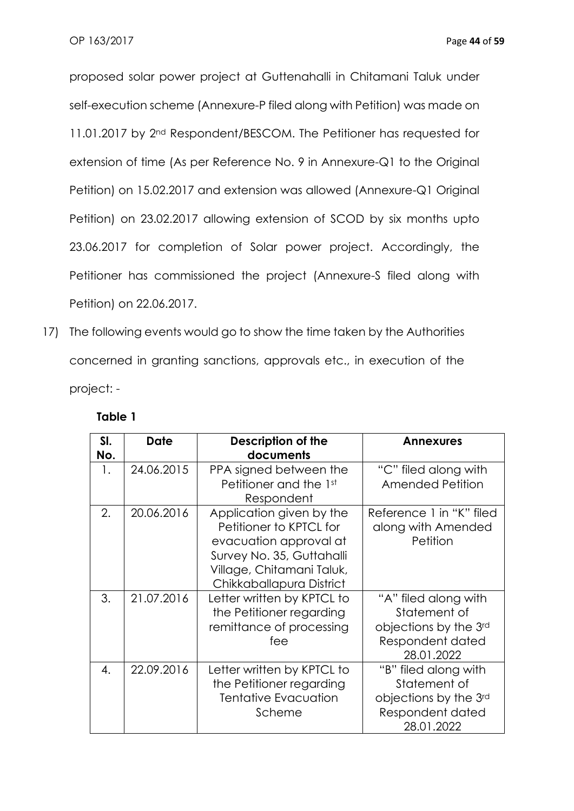proposed solar power project at Guttenahalli in Chitamani Taluk under self-execution scheme (Annexure-P filed along with Petition) was made on 11.01.2017 by 2<sup>nd</sup> Respondent/BESCOM. The Petitioner has requested for extension of time (As per Reference No. 9 in Annexure-Q1 to the Original Petition) on 15.02.2017 and extension was allowed (Annexure-Q1 Original Petition) on 23.02.2017 allowing extension of SCOD by six months upto 23.06.2017 for completion of Solar power project. Accordingly, the Petitioner has commissioned the project (Annexure-S filed along with Petition) on 22.06.2017.

17) The following events would go to show the time taken by the Authorities concerned in granting sanctions, approvals etc., in execution of the project: -

| SI.<br>No. | <b>Date</b> | Description of the<br>documents                                                                                                                                     | <b>Annexures</b>                                                                                |
|------------|-------------|---------------------------------------------------------------------------------------------------------------------------------------------------------------------|-------------------------------------------------------------------------------------------------|
| 1.         | 24.06.2015  | PPA signed between the<br>Petitioner and the 1st<br>Respondent                                                                                                      | "C" filed along with<br>Amended Petition                                                        |
| 2.         | 20.06.2016  | Application given by the<br>Petitioner to KPTCL for<br>evacuation approval at<br>Survey No. 35, Guttahalli<br>Village, Chitamani Taluk,<br>Chikkaballapura District | Reference 1 in "K" filed<br>along with Amended<br>Petition                                      |
| 3.         | 21.07.2016  | Letter written by KPTCL to<br>the Petitioner regarding<br>remittance of processing<br>fee                                                                           | "A" filed along with<br>Statement of<br>objections by the 3rd<br>Respondent dated<br>28.01.2022 |
| 4.         | 22.09.2016  | Letter written by KPTCL to<br>the Petitioner regarding<br><b>Tentative Evacuation</b><br>Scheme                                                                     | "B" filed along with<br>Statement of<br>objections by the 3rd<br>Respondent dated<br>28.01.2022 |

### **Table 1**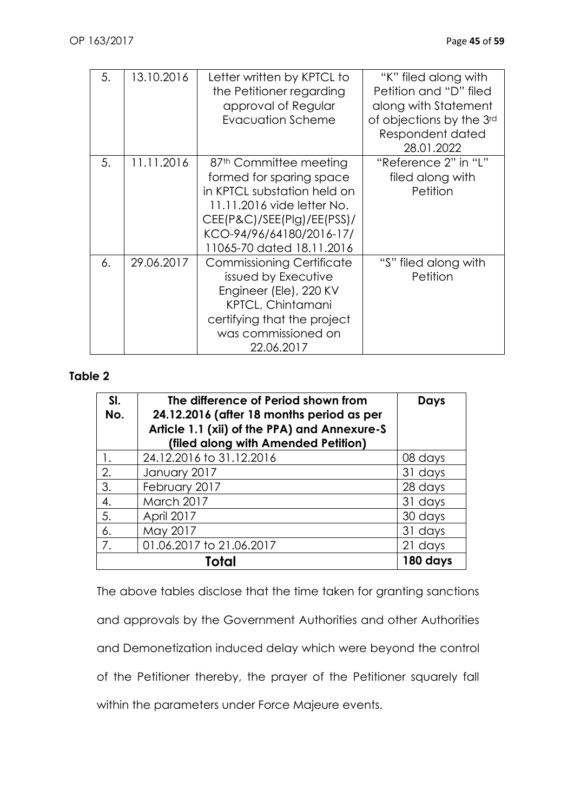| 5. | 13.10.2016 | Letter written by KPTCL to<br>the Petitioner regarding<br>approval of Regular<br>Evacuation Scheme                                                                                                                 | "K" filed along with<br>Petition and "D" filed<br>along with Statement<br>of objections by the 3rd<br>Respondent dated<br>28.01.2022 |
|----|------------|--------------------------------------------------------------------------------------------------------------------------------------------------------------------------------------------------------------------|--------------------------------------------------------------------------------------------------------------------------------------|
| 5. | 11.11.2016 | 87 <sup>th</sup> Committee meeting<br>formed for sparing space<br>in KPTCL substation held on<br>11.11.2016 vide letter No.<br>CEE(P&C)/SEE(Plg)/EE(PSS)/<br>KCO-94/96/64180/2016-17/<br>11065-70 dated 18.11.2016 | "Reference 2" in "L"<br>filed along with<br>Petition                                                                                 |
| 6. | 29.06.2017 | <b>Commissioning Certificate</b><br>issued by Executive<br>Engineer (Ele), 220 KV<br><b>KPTCL, Chintamani</b><br>certifying that the project<br>was commissioned on<br>22.06.2017                                  | "S" filed along with<br>Petition                                                                                                     |

### **Table 2**

| SI.<br>No. | The difference of Period shown from<br>24.12.2016 (after 18 months period as per<br>Article 1.1 (xii) of the PPA) and Annexure-S<br>(filed along with Amended Petition) | <b>Days</b> |
|------------|-------------------------------------------------------------------------------------------------------------------------------------------------------------------------|-------------|
| 1.         | 24.12.2016 to 31.12.2016                                                                                                                                                | 08 days     |
| 2.         | January 2017                                                                                                                                                            | 31 days     |
| 3.         | February 2017                                                                                                                                                           | 28 days     |
| 4.         | March 2017                                                                                                                                                              | 31 days     |
| 5.         | April 2017                                                                                                                                                              | 30 days     |
| 6.         | May 2017                                                                                                                                                                | 31 days     |
| 7.         | 01.06.2017 to 21.06.2017                                                                                                                                                | 21 days     |
|            | Total                                                                                                                                                                   | 180 days    |

The above tables disclose that the time taken for granting sanctions and approvals by the Government Authorities and other Authorities and Demonetization induced delay which were beyond the control of the Petitioner thereby, the prayer of the Petitioner squarely fall within the parameters under Force Majeure events.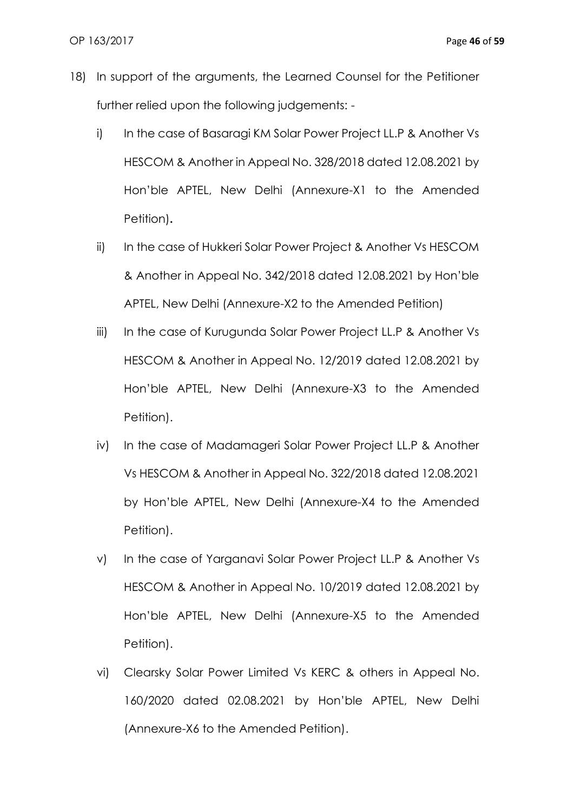- 18) In support of the arguments, the Learned Counsel for the Petitioner further relied upon the following judgements:
	- i) In the case of Basaragi KM Solar Power Project LL.P & Another Vs HESCOM & Another in Appeal No. 328/2018 dated 12.08.2021 by Hon'ble APTEL, New Delhi (Annexure-X1 to the Amended Petition)**.**
	- ii) In the case of Hukkeri Solar Power Project & Another Vs HESCOM & Another in Appeal No. 342/2018 dated 12.08.2021 by Hon'ble APTEL, New Delhi (Annexure-X2 to the Amended Petition)
	- iii) In the case of Kurugunda Solar Power Project LL.P & Another Vs HESCOM & Another in Appeal No. 12/2019 dated 12.08.2021 by Hon'ble APTEL, New Delhi (Annexure-X3 to the Amended Petition).
	- iv) In the case of Madamageri Solar Power Project LL.P & Another Vs HESCOM & Another in Appeal No. 322/2018 dated 12.08.2021 by Hon'ble APTEL, New Delhi (Annexure-X4 to the Amended Petition).
	- v) In the case of Yarganavi Solar Power Project LL.P & Another Vs HESCOM & Another in Appeal No. 10/2019 dated 12.08.2021 by Hon'ble APTEL, New Delhi (Annexure-X5 to the Amended Petition).
	- vi) Clearsky Solar Power Limited Vs KERC & others in Appeal No. 160/2020 dated 02.08.2021 by Hon'ble APTEL, New Delhi (Annexure-X6 to the Amended Petition).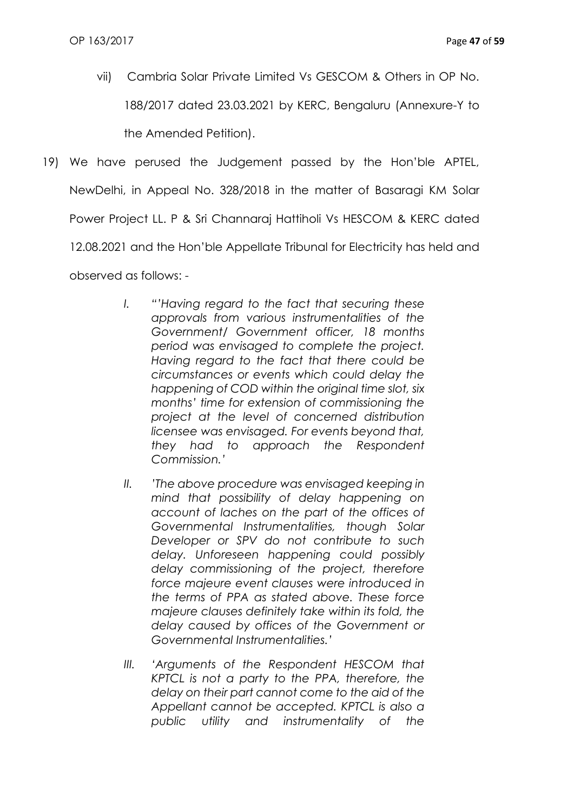vii) Cambria Solar Private Limited Vs GESCOM & Others in OP No. 188/2017 dated 23.03.2021 by KERC, Bengaluru (Annexure-Y to the Amended Petition).

19) We have perused the Judgement passed by the Hon'ble APTEL, NewDelhi, in Appeal No. 328/2018 in the matter of Basaragi KM Solar Power Project LL. P & Sri Channaraj Hattiholi Vs HESCOM & KERC dated 12.08.2021 and the Hon'ble Appellate Tribunal for Electricity has held and

observed as follows: -

- *I. "'Having regard to the fact that securing these approvals from various instrumentalities of the Government/ Government officer, 18 months period was envisaged to complete the project. Having regard to the fact that there could be circumstances or events which could delay the happening of COD within the original time slot, six months' time for extension of commissioning the project at the level of concerned distribution licensee was envisaged. For events beyond that, they had to approach the Respondent Commission.'*
- *II. 'The above procedure was envisaged keeping in mind that possibility of delay happening on account of laches on the part of the offices of Governmental Instrumentalities, though Solar Developer or SPV do not contribute to such delay. Unforeseen happening could possibly delay commissioning of the project, therefore force majeure event clauses were introduced in the terms of PPA as stated above. These force majeure clauses definitely take within its fold, the delay caused by offices of the Government or Governmental Instrumentalities.'*
- *III. 'Arguments of the Respondent HESCOM that KPTCL is not a party to the PPA, therefore, the delay on their part cannot come to the aid of the Appellant cannot be accepted. KPTCL is also a public utility and instrumentality of the*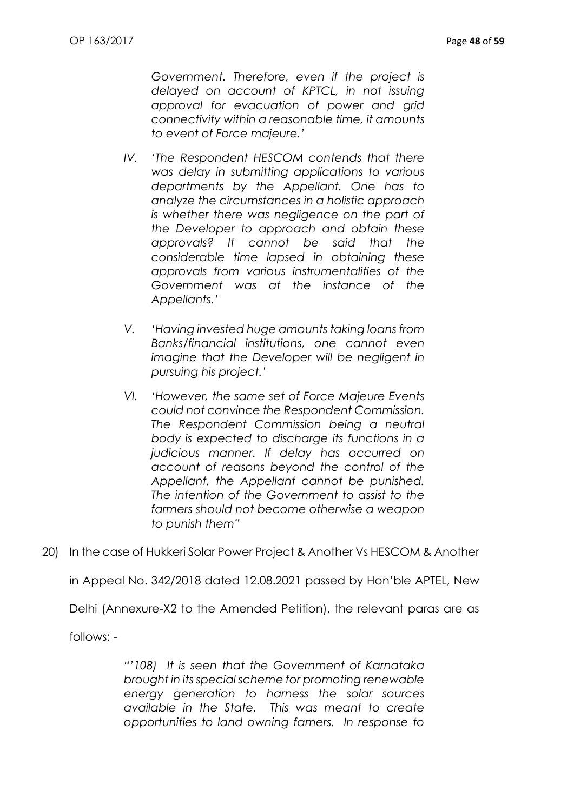*Government. Therefore, even if the project is delayed on account of KPTCL, in not issuing approval for evacuation of power and grid connectivity within a reasonable time, it amounts to event of Force majeure.'*

- *IV. 'The Respondent HESCOM contends that there was delay in submitting applications to various departments by the Appellant. One has to analyze the circumstances in a holistic approach is whether there was negligence on the part of the Developer to approach and obtain these approvals? It cannot be said that the considerable time lapsed in obtaining these approvals from various instrumentalities of the Government was at the instance of the Appellants.'*
- *V. 'Having invested huge amounts taking loans from Banks/financial institutions, one cannot even imagine that the Developer will be negligent in pursuing his project.'*
- *VI. 'However, the same set of Force Majeure Events could not convince the Respondent Commission. The Respondent Commission being a neutral body is expected to discharge its functions in a judicious manner. If delay has occurred on account of reasons beyond the control of the Appellant, the Appellant cannot be punished. The intention of the Government to assist to the farmers should not become otherwise a weapon to punish them"*
- 20) In the case of Hukkeri Solar Power Project & Another Vs HESCOM & Another

in Appeal No. 342/2018 dated 12.08.2021 passed by Hon'ble APTEL, New

Delhi (Annexure-X2 to the Amended Petition), the relevant paras are as

follows: -

*"'108) It is seen that the Government of Karnataka brought in its special scheme for promoting renewable energy generation to harness the solar sources available in the State. This was meant to create opportunities to land owning famers. In response to*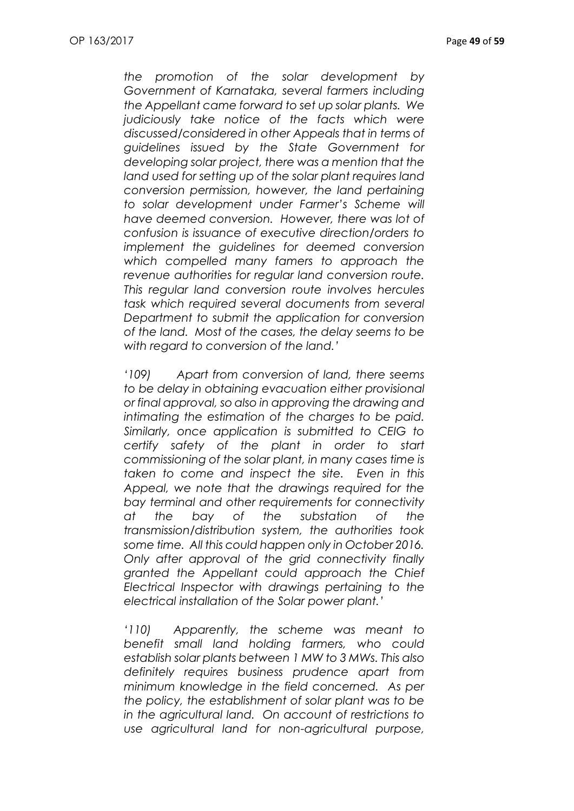*the promotion of the solar development by Government of Karnataka, several farmers including the Appellant came forward to set up solar plants. We judiciously take notice of the facts which were discussed/considered in other Appeals that in terms of guidelines issued by the State Government for developing solar project, there was a mention that the land used for setting up of the solar plant requires land conversion permission, however, the land pertaining to solar development under Farmer's Scheme will have deemed conversion. However, there was lot of confusion is issuance of executive direction/orders to implement the guidelines for deemed conversion which compelled many famers to approach the revenue authorities for regular land conversion route. This regular land conversion route involves hercules task which required several documents from several Department to submit the application for conversion of the land. Most of the cases, the delay seems to be with regard to conversion of the land.'*

*'109) Apart from conversion of land, there seems to be delay in obtaining evacuation either provisional or final approval, so also in approving the drawing and intimating the estimation of the charges to be paid. Similarly, once application is submitted to CEIG to certify safety of the plant in order to start commissioning of the solar plant, in many cases time is taken to come and inspect the site. Even in this Appeal, we note that the drawings required for the bay terminal and other requirements for connectivity at the bay of the substation of the transmission/distribution system, the authorities took some time. All this could happen only in October 2016. Only after approval of the grid connectivity finally granted the Appellant could approach the Chief Electrical Inspector with drawings pertaining to the electrical installation of the Solar power plant.'*

*'110) Apparently, the scheme was meant to benefit small land holding farmers, who could establish solar plants between 1 MW to 3 MWs. This also definitely requires business prudence apart from minimum knowledge in the field concerned. As per the policy, the establishment of solar plant was to be in the agricultural land. On account of restrictions to use agricultural land for non-agricultural purpose,*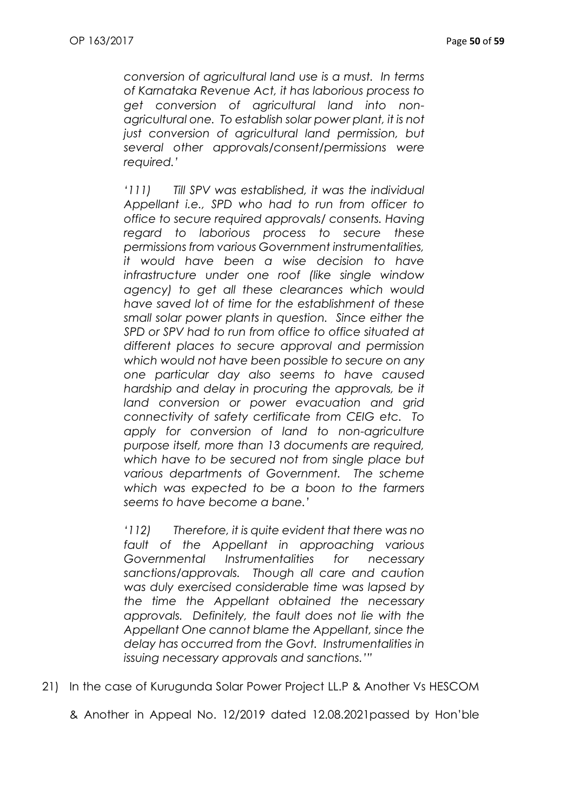*conversion of agricultural land use is a must. In terms of Karnataka Revenue Act, it has laborious process to get conversion of agricultural land into nonagricultural one. To establish solar power plant, it is not just conversion of agricultural land permission, but several other approvals/consent/permissions were required.'*

*'111) Till SPV was established, it was the individual Appellant i.e., SPD who had to run from officer to office to secure required approvals/ consents. Having regard to laborious process to secure these permissions from various Government instrumentalities, it would have been a wise decision to have infrastructure under one roof (like single window agency) to get all these clearances which would have saved lot of time for the establishment of these small solar power plants in question. Since either the SPD or SPV had to run from office to office situated at different places to secure approval and permission which would not have been possible to secure on any one particular day also seems to have caused hardship and delay in procuring the approvals, be it land conversion or power evacuation and grid connectivity of safety certificate from CEIG etc. To apply for conversion of land to non-agriculture purpose itself, more than 13 documents are required, which have to be secured not from single place but various departments of Government. The scheme which was expected to be a boon to the farmers seems to have become a bane.'*

*'112) Therefore, it is quite evident that there was no fault of the Appellant in approaching various Governmental Instrumentalities for necessary sanctions/approvals. Though all care and caution was duly exercised considerable time was lapsed by the time the Appellant obtained the necessary approvals. Definitely, the fault does not lie with the Appellant One cannot blame the Appellant, since the delay has occurred from the Govt. Instrumentalities in issuing necessary approvals and sanctions.'"*

21) In the case of Kurugunda Solar Power Project LL.P & Another Vs HESCOM

& Another in Appeal No. 12/2019 dated 12.08.2021passed by Hon'ble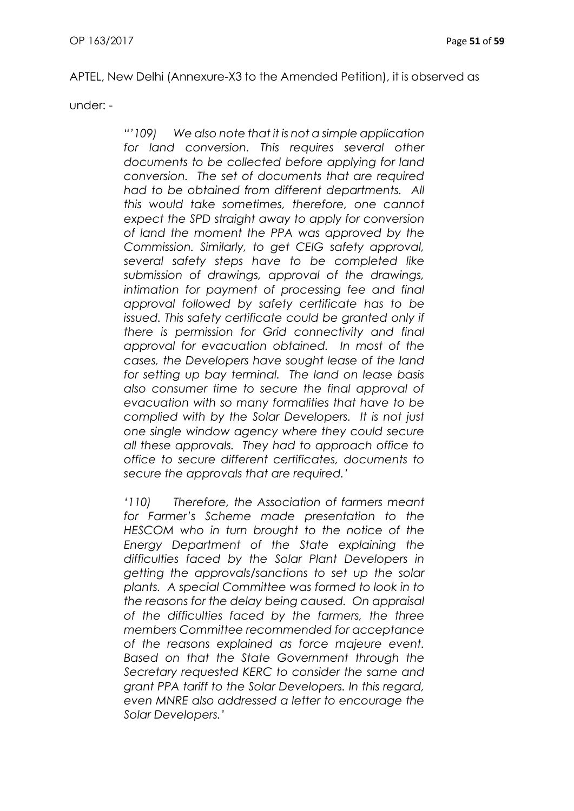APTEL, New Delhi (Annexure-X3 to the Amended Petition), it is observed as

under: -

*"'109) We also note that it is not a simple application for land conversion. This requires several other documents to be collected before applying for land conversion. The set of documents that are required had to be obtained from different departments. All this would take sometimes, therefore, one cannot expect the SPD straight away to apply for conversion of land the moment the PPA was approved by the Commission. Similarly, to get CEIG safety approval, several safety steps have to be completed like submission of drawings, approval of the drawings, intimation for payment of processing fee and final approval followed by safety certificate has to be issued. This safety certificate could be granted only if there is permission for Grid connectivity and final approval for evacuation obtained. In most of the cases, the Developers have sought lease of the land for setting up bay terminal. The land on lease basis also consumer time to secure the final approval of evacuation with so many formalities that have to be complied with by the Solar Developers. It is not just one single window agency where they could secure all these approvals. They had to approach office to office to secure different certificates, documents to secure the approvals that are required.'*

*'110) Therefore, the Association of farmers meant for Farmer's Scheme made presentation to the HESCOM who in turn brought to the notice of the Energy Department of the State explaining the difficulties faced by the Solar Plant Developers in getting the approvals/sanctions to set up the solar plants. A special Committee was formed to look in to the reasons for the delay being caused. On appraisal of the difficulties faced by the farmers, the three members Committee recommended for acceptance of the reasons explained as force majeure event. Based on that the State Government through the Secretary requested KERC to consider the same and grant PPA tariff to the Solar Developers. In this regard, even MNRE also addressed a letter to encourage the Solar Developers.'*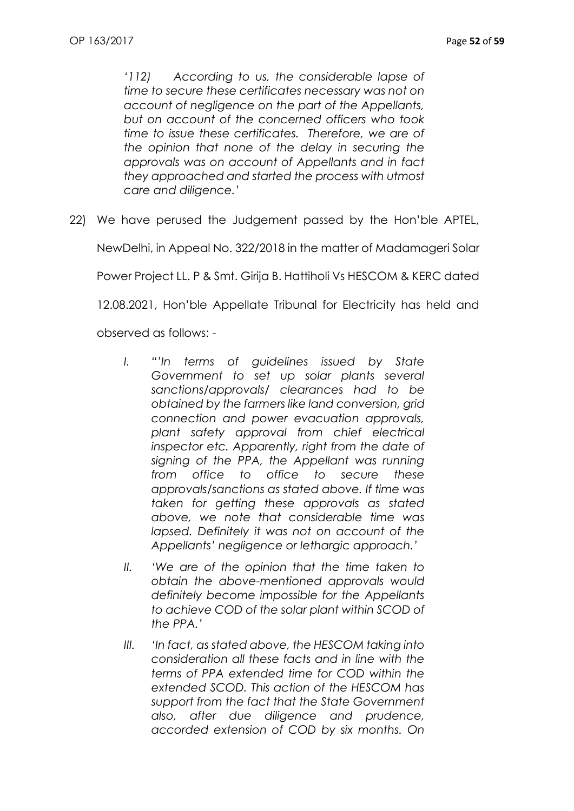*'112) According to us, the considerable lapse of time to secure these certificates necessary was not on account of negligence on the part of the Appellants, but on account of the concerned officers who took time to issue these certificates. Therefore, we are of the opinion that none of the delay in securing the approvals was on account of Appellants and in fact they approached and started the process with utmost care and diligence.'*

22) We have perused the Judgement passed by the Hon'ble APTEL,

NewDelhi, in Appeal No. 322/2018 in the matter of Madamageri Solar

Power Project LL. P & Smt. Girija B. Hattiholi Vs HESCOM & KERC dated

12.08.2021, Hon'ble Appellate Tribunal for Electricity has held and

observed as follows: -

- *I. "'In terms of guidelines issued by State Government to set up solar plants several sanctions/approvals/ clearances had to be obtained by the farmers like land conversion, grid connection and power evacuation approvals, plant safety approval from chief electrical inspector etc. Apparently, right from the date of signing of the PPA, the Appellant was running from office to office to secure these approvals/sanctions as stated above. If time was taken for getting these approvals as stated above, we note that considerable time was lapsed. Definitely it was not on account of the Appellants' negligence or lethargic approach.'*
- *II. 'We are of the opinion that the time taken to obtain the above-mentioned approvals would definitely become impossible for the Appellants to achieve COD of the solar plant within SCOD of the PPA.'*
- *III. 'In fact, as stated above, the HESCOM taking into consideration all these facts and in line with the terms of PPA extended time for COD within the extended SCOD. This action of the HESCOM has support from the fact that the State Government also, after due diligence and prudence, accorded extension of COD by six months. On*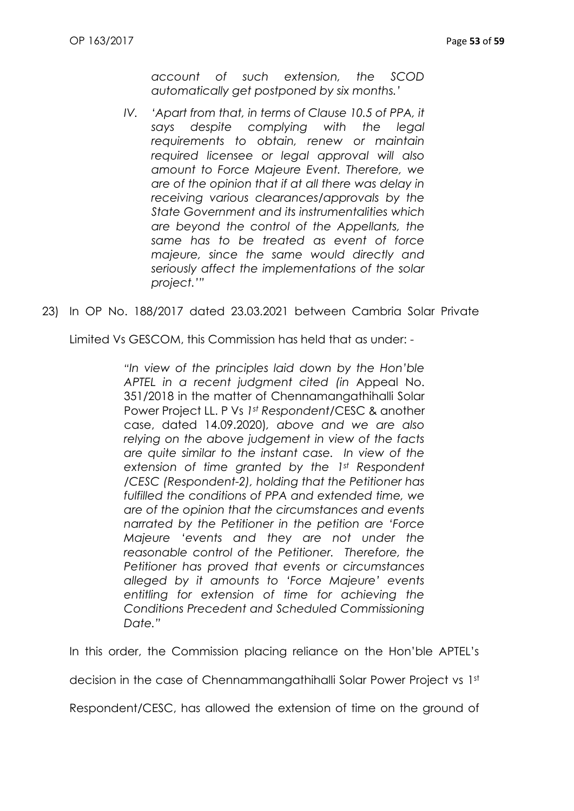*account of such extension, the SCOD automatically get postponed by six months.'*

- *IV. 'Apart from that, in terms of Clause 10.5 of PPA, it says despite complying with the legal requirements to obtain, renew or maintain required licensee or legal approval will also amount to Force Majeure Event. Therefore, we are of the opinion that if at all there was delay in receiving various clearances/approvals by the State Government and its instrumentalities which are beyond the control of the Appellants, the same has to be treated as event of force majeure, since the same would directly and seriously affect the implementations of the solar project.'"*
- 23) In OP No. 188/2017 dated 23.03.2021 between Cambria Solar Private

Limited Vs GESCOM, this Commission has held that as under: -

*"In view of the principles laid down by the Hon'ble APTEL in a recent judgment cited (in* Appeal No. 351/2018 in the matter of Chennamangathihalli Solar Power Project LL. P Vs *1st Respondent*/CESC & another case, dated 14.09.2020)*, above and we are also relying on the above judgement in view of the facts are quite similar to the instant case. In view of the extension of time granted by the 1st Respondent /CESC (Respondent-2), holding that the Petitioner has fulfilled the conditions of PPA and extended time, we are of the opinion that the circumstances and events narrated by the Petitioner in the petition are 'Force Majeure 'events and they are not under the reasonable control of the Petitioner. Therefore, the Petitioner has proved that events or circumstances alleged by it amounts to 'Force Majeure' events entitling for extension of time for achieving the Conditions Precedent and Scheduled Commissioning Date."*

In this order, the Commission placing reliance on the Hon'ble APTEL's

decision in the case of Chennammangathihalli Solar Power Project vs 1st

Respondent/CESC, has allowed the extension of time on the ground of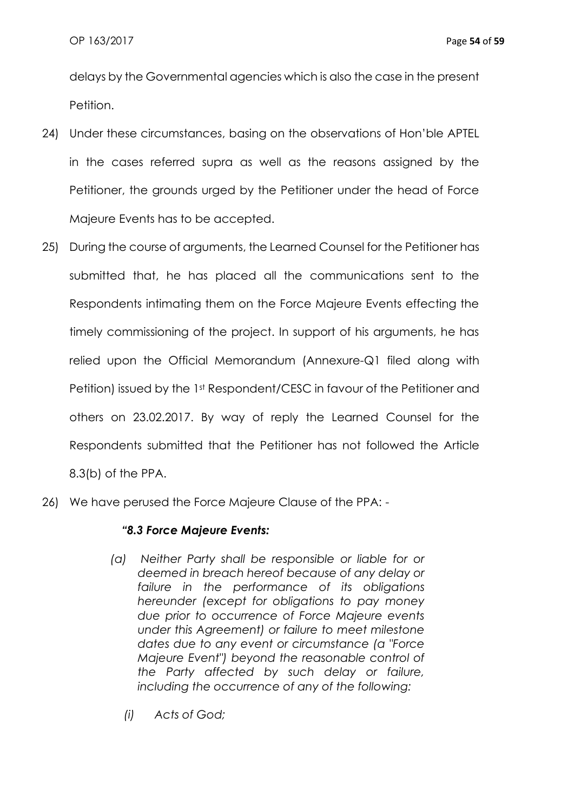delays by the Governmental agencies which is also the case in the present Petition.

- 24) Under these circumstances, basing on the observations of Hon'ble APTEL in the cases referred supra as well as the reasons assigned by the Petitioner, the grounds urged by the Petitioner under the head of Force Majeure Events has to be accepted.
- 25) During the course of arguments, the Learned Counsel for the Petitioner has submitted that, he has placed all the communications sent to the Respondents intimating them on the Force Majeure Events effecting the timely commissioning of the project. In support of his arguments, he has relied upon the Official Memorandum (Annexure-Q1 filed along with Petition) issued by the 1st Respondent/CESC in favour of the Petitioner and others on 23.02.2017. By way of reply the Learned Counsel for the Respondents submitted that the Petitioner has not followed the Article 8.3(b) of the PPA.
- 26) We have perused the Force Majeure Clause of the PPA: -

### *"8.3 Force Majeure Events:*

- *(a) Neither Party shall be responsible or liable for or deemed in breach hereof because of any delay or failure in the performance of its obligations hereunder (except for obligations to pay money due prior to occurrence of Force Majeure events under this Agreement) or failure to meet milestone dates due to any event or circumstance (a "Force Majeure Event") beyond the reasonable control of the Party affected by such delay or failure, including the occurrence of any of the following:*
	- *(i) Acts of God;*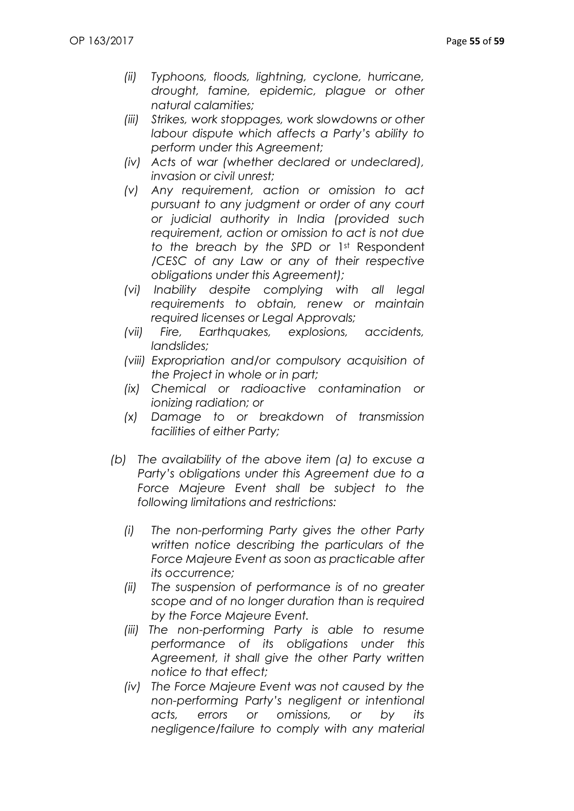- *(ii) Typhoons, floods, lightning, cyclone, hurricane, drought, famine, epidemic, plague or other natural calamities;*
- *(iii) Strikes, work stoppages, work slowdowns or other labour dispute which affects a Party's ability to perform under this Agreement;*
- *(iv) Acts of war (whether declared or undeclared), invasion or civil unrest;*
- *(v) Any requirement, action or omission to act pursuant to any judgment or order of any court or judicial authority in India (provided such requirement, action or omission to act is not due to the breach by the SPD or* 1st Respondent */CESC of any Law or any of their respective obligations under this Agreement);*
- *(vi) Inability despite complying with all legal requirements to obtain, renew or maintain required licenses or Legal Approvals;*
- *(vii) Fire, Earthquakes, explosions, accidents, landslides;*
- *(viii) Expropriation and/or compulsory acquisition of the Project in whole or in part;*
- *(ix) Chemical or radioactive contamination or ionizing radiation; or*
- *(x) Damage to or breakdown of transmission facilities of either Party;*
- *(b) The availability of the above item (a) to excuse a Party's obligations under this Agreement due to a Force Majeure Event shall be subject to the following limitations and restrictions:*
	- *(i) The non-performing Party gives the other Party written notice describing the particulars of the Force Majeure Event as soon as practicable after its occurrence;*
	- *(ii) The suspension of performance is of no greater scope and of no longer duration than is required by the Force Majeure Event.*
	- *(iii) The non-performing Party is able to resume performance of its obligations under this Agreement, it shall give the other Party written notice to that effect;*
	- *(iv) The Force Majeure Event was not caused by the non-performing Party's negligent or intentional acts, errors or omissions, or by its negligence/failure to comply with any material*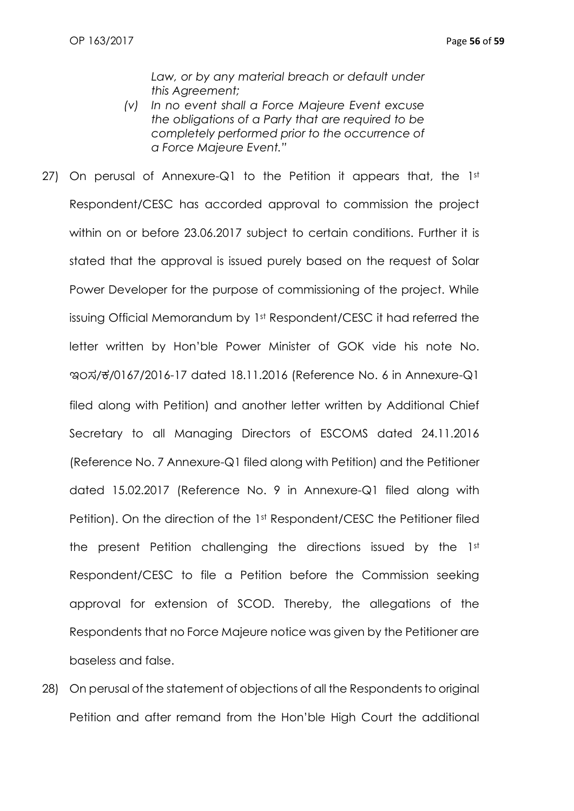*Law, or by any material breach or default under this Agreement;*

- *(v) In no event shall a Force Majeure Event excuse the obligations of a Party that are required to be completely performed prior to the occurrence of a Force Majeure Event."*
- 27) On perusal of Annexure-Q1 to the Petition it appears that, the  $1st$ Respondent/CESC has accorded approval to commission the project within on or before 23.06.2017 subject to certain conditions. Further it is stated that the approval is issued purely based on the request of Solar Power Developer for the purpose of commissioning of the project. While issuing Official Memorandum by 1st Respondent/CESC it had referred the letter written by Hon'ble Power Minister of GOK vide his note No. ಇಂಸ/ಕ/0167/2016-17 dated 18.11.2016 (Reference No. 6 in Annexure-Q1 filed along with Petition) and another letter written by Additional Chief Secretary to all Managing Directors of ESCOMS dated 24.11.2016 (Reference No. 7 Annexure-Q1 filed along with Petition) and the Petitioner dated 15.02.2017 (Reference No. 9 in Annexure-Q1 filed along with Petition). On the direction of the 1st Respondent/CESC the Petitioner filed the present Petition challenging the directions issued by the 1st Respondent/CESC to file a Petition before the Commission seeking approval for extension of SCOD. Thereby, the allegations of the Respondents that no Force Majeure notice was given by the Petitioner are baseless and false.
- 28) On perusal of the statement of objections of all the Respondents to original Petition and after remand from the Hon'ble High Court the additional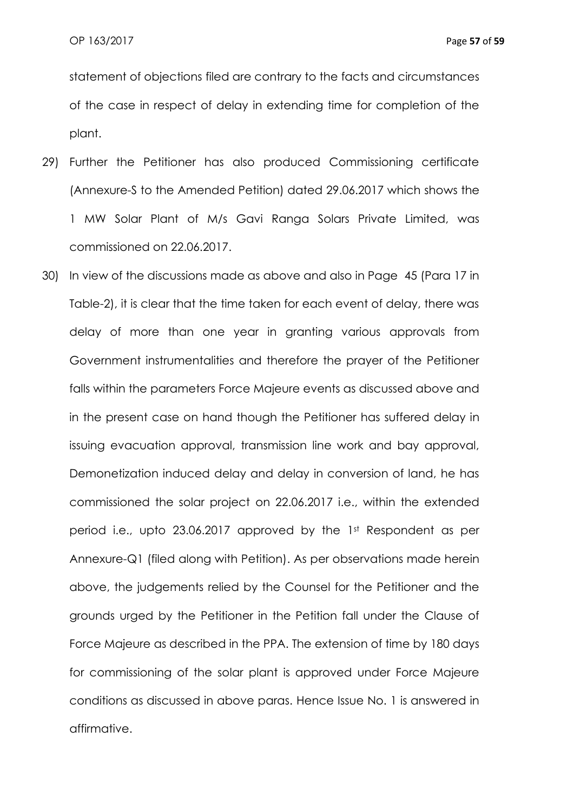statement of objections filed are contrary to the facts and circumstances of the case in respect of delay in extending time for completion of the plant.

- 29) Further the Petitioner has also produced Commissioning certificate (Annexure-S to the Amended Petition) dated 29.06.2017 which shows the 1 MW Solar Plant of M/s Gavi Ranga Solars Private Limited, was commissioned on 22.06.2017.
- 30) In view of the discussions made as above and also in Page 45 (Para 17 in Table-2), it is clear that the time taken for each event of delay, there was delay of more than one year in granting various approvals from Government instrumentalities and therefore the prayer of the Petitioner falls within the parameters Force Majeure events as discussed above and in the present case on hand though the Petitioner has suffered delay in issuing evacuation approval, transmission line work and bay approval, Demonetization induced delay and delay in conversion of land, he has commissioned the solar project on 22.06.2017 i.e., within the extended period i.e., upto 23.06.2017 approved by the 1st Respondent as per Annexure-Q1 (filed along with Petition). As per observations made herein above, the judgements relied by the Counsel for the Petitioner and the grounds urged by the Petitioner in the Petition fall under the Clause of Force Majeure as described in the PPA. The extension of time by 180 days for commissioning of the solar plant is approved under Force Majeure conditions as discussed in above paras. Hence Issue No. 1 is answered in affirmative.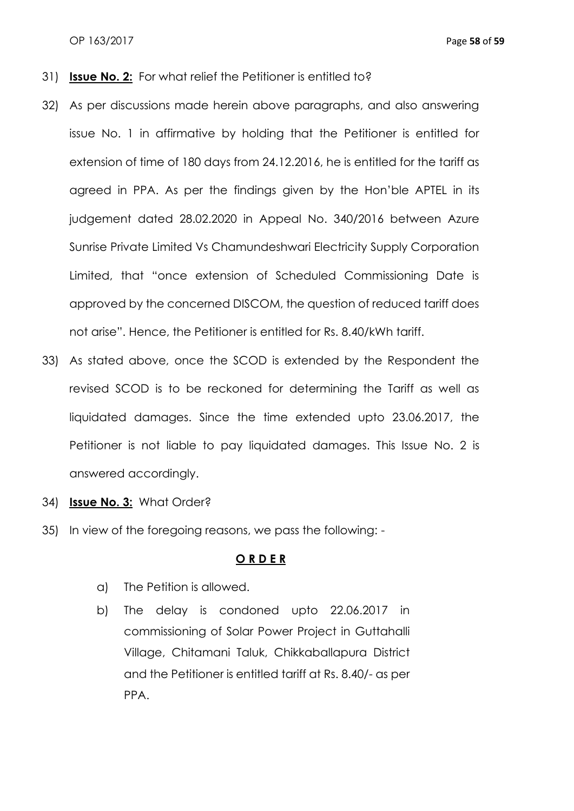- 31) **Issue No. 2:** For what relief the Petitioner is entitled to?
- 32) As per discussions made herein above paragraphs, and also answering issue No. 1 in affirmative by holding that the Petitioner is entitled for extension of time of 180 days from 24.12.2016, he is entitled for the tariff as agreed in PPA. As per the findings given by the Hon'ble APTEL in its judgement dated 28.02.2020 in Appeal No. 340/2016 between Azure Sunrise Private Limited Vs Chamundeshwari Electricity Supply Corporation Limited, that "once extension of Scheduled Commissioning Date is approved by the concerned DISCOM, the question of reduced tariff does not arise". Hence, the Petitioner is entitled for Rs. 8.40/kWh tariff.
- 33) As stated above, once the SCOD is extended by the Respondent the revised SCOD is to be reckoned for determining the Tariff as well as liquidated damages. Since the time extended upto 23.06.2017, the Petitioner is not liable to pay liquidated damages. This Issue No. 2 is answered accordingly.
- 34) **Issue No. 3:** What Order?
- 35) In view of the foregoing reasons, we pass the following: -

#### **O R D E R**

- a) The Petition is allowed.
- b) The delay is condoned upto 22.06.2017 in commissioning of Solar Power Project in Guttahalli Village, Chitamani Taluk, Chikkaballapura District and the Petitioner is entitled tariff at Rs. 8.40/- as per PPA.